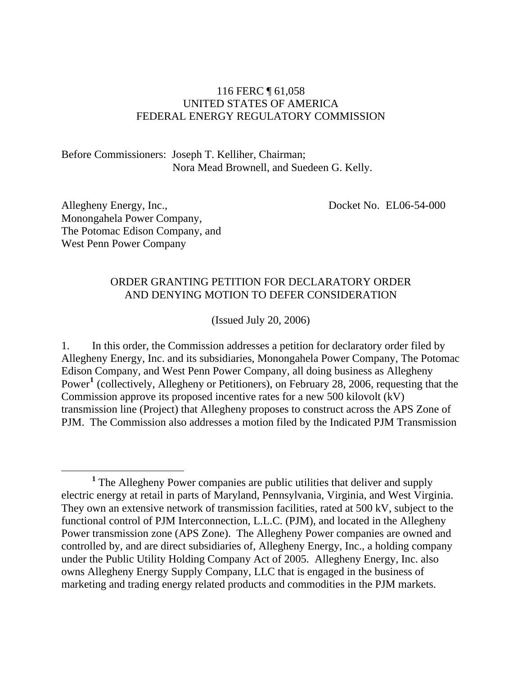## 116 FERC ¶ 61,058 UNITED STATES OF AMERICA FEDERAL ENERGY REGULATORY COMMISSION

Before Commissioners: Joseph T. Kelliher, Chairman; Nora Mead Brownell, and Suedeen G. Kelly.

Allegheny Energy, Inc., Monongahela Power Company, The Potomac Edison Company, and West Penn Power Company

Docket No. EL06-54-000

### ORDER GRANTING PETITION FOR DECLARATORY ORDER AND DENYING MOTION TO DEFER CONSIDERATION

(Issued July 20, 2006)

1. In this order, the Commission addresses a petition for declaratory order filed by Allegheny Energy, Inc. and its subsidiaries, Monongahela Power Company, The Potomac Edison Company, and West Penn Power Company, all doing business as Allegheny Power<sup>[1](#page-0-0)</sup> (collectively, Allegheny or Petitioners), on February 28, 2006, requesting that the Commission approve its proposed incentive rates for a new 500 kilovolt (kV) transmission line (Project) that Allegheny proposes to construct across the APS Zone of PJM. The Commission also addresses a motion filed by the Indicated PJM Transmission

<span id="page-0-0"></span><sup>&</sup>lt;sup>1</sup> The Allegheny Power companies are public utilities that deliver and supply electric energy at retail in parts of Maryland, Pennsylvania, Virginia, and West Virginia. They own an extensive network of transmission facilities, rated at 500 kV, subject to the functional control of PJM Interconnection, L.L.C. (PJM), and located in the Allegheny Power transmission zone (APS Zone). The Allegheny Power companies are owned and controlled by, and are direct subsidiaries of, Allegheny Energy, Inc., a holding company under the Public Utility Holding Company Act of 2005. Allegheny Energy, Inc. also owns Allegheny Energy Supply Company, LLC that is engaged in the business of marketing and trading energy related products and commodities in the PJM markets.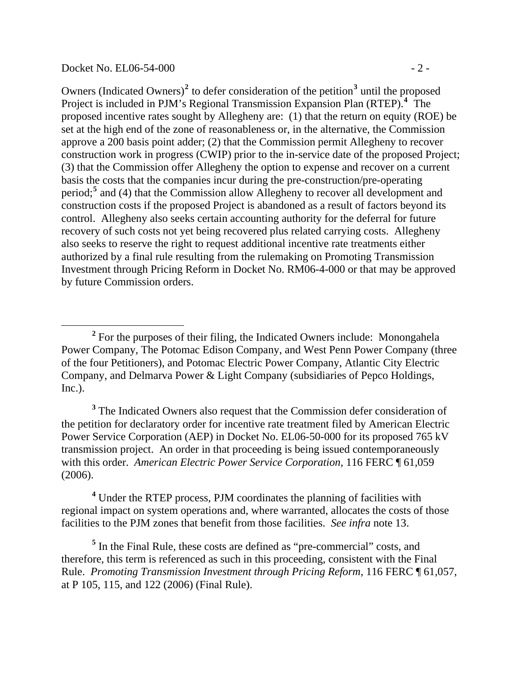#### Docket No. EL06-54-000 - 2 -

 $\overline{a}$ 

Owners (Indicated Owners)<sup>[2](#page-1-0)</sup> to defer consideration of the petition<sup>[3](#page-1-1)</sup> until the proposed Project is included in PJM's Regional Transmission Expansion Plan (RTEP).<sup>[4](#page-1-2)</sup> The proposed incentive rates sought by Allegheny are: (1) that the return on equity (ROE) be set at the high end of the zone of reasonableness or, in the alternative, the Commission approve a 200 basis point adder; (2) that the Commission permit Allegheny to recover construction work in progress (CWIP) prior to the in-service date of the proposed Project; (3) that the Commission offer Allegheny the option to expense and recover on a current basis the costs that the companies incur during the pre-construction/pre-operating period;<sup>[5](#page-1-3)</sup> and (4) that the Commission allow Allegheny to recover all development and construction costs if the proposed Project is abandoned as a result of factors beyond its control. Allegheny also seeks certain accounting authority for the deferral for future recovery of such costs not yet being recovered plus related carrying costs. Allegheny also seeks to reserve the right to request additional incentive rate treatments either authorized by a final rule resulting from the rulemaking on Promoting Transmission Investment through Pricing Reform in Docket No. RM06-4-000 or that may be approved by future Commission orders.

<span id="page-1-0"></span><sup>&</sup>lt;sup>2</sup> For the purposes of their filing, the Indicated Owners include: Monongahela Power Company, The Potomac Edison Company, and West Penn Power Company (three of the four Petitioners), and Potomac Electric Power Company, Atlantic City Electric Company, and Delmarva Power & Light Company (subsidiaries of Pepco Holdings, Inc.).

<span id="page-1-1"></span><sup>&</sup>lt;sup>3</sup> The Indicated Owners also request that the Commission defer consideration of the petition for declaratory order for incentive rate treatment filed by American Electric Power Service Corporation (AEP) in Docket No. EL06-50-000 for its proposed 765 kV transmission project. An order in that proceeding is being issued contemporaneously with this order. *American Electric Power Service Corporation*, 116 FERC ¶ 61,059 (2006).

<span id="page-1-2"></span><sup>&</sup>lt;sup>4</sup> Under the RTEP process, PJM coordinates the planning of facilities with regional impact on system operations and, where warranted, allocates the costs of those facilities to the PJM zones that benefit from those facilities. *See infra* note 13.

<span id="page-1-3"></span><sup>&</sup>lt;sup>5</sup> In the Final Rule, these costs are defined as "pre-commercial" costs, and therefore, this term is referenced as such in this proceeding, consistent with the Final Rule. *Promoting Transmission Investment through Pricing Reform*, 116 FERC ¶ 61,057, at P 105, 115, and 122 (2006) (Final Rule).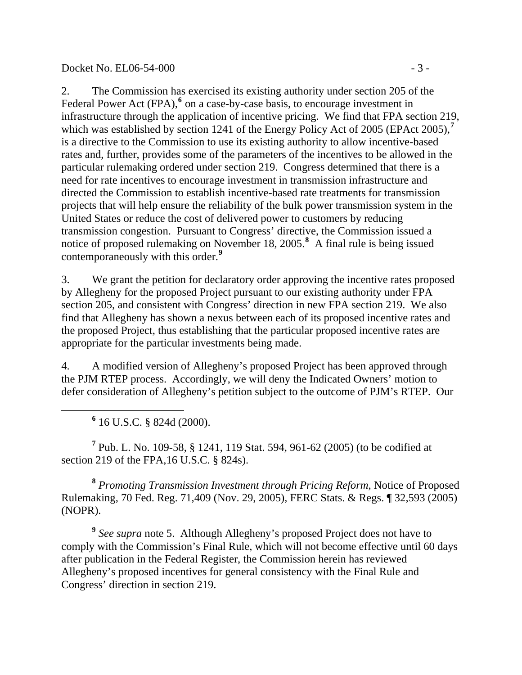#### Docket No. EL06-54-000 - 3 -

2. The Commission has exercised its existing authority under section 205 of the Federal Power Act (FPA),<sup>[6](#page-2-0)</sup> on a case-by-case basis, to encourage investment in infrastructure through the application of incentive pricing. We find that FPA section 219, which was established by section 1241 of the Energy Policy Act of 2005 (EPAct 2005),<sup>[7](#page-2-1)</sup> is a directive to the Commission to use its existing authority to allow incentive-based rates and, further, provides some of the parameters of the incentives to be allowed in the particular rulemaking ordered under section 219. Congress determined that there is a need for rate incentives to encourage investment in transmission infrastructure and directed the Commission to establish incentive-based rate treatments for transmission projects that will help ensure the reliability of the bulk power transmission system in the United States or reduce the cost of delivered power to customers by reducing transmission congestion. Pursuant to Congress' directive, the Commission issued a notice of proposed rulemaking on November 18, 2005.**[8](#page-2-2)** A final rule is being issued contemporaneously with this order.**[9](#page-2-3)**

3. We grant the petition for declaratory order approving the incentive rates proposed by Allegheny for the proposed Project pursuant to our existing authority under FPA section 205, and consistent with Congress' direction in new FPA section 219. We also find that Allegheny has shown a nexus between each of its proposed incentive rates and the proposed Project, thus establishing that the particular proposed incentive rates are appropriate for the particular investments being made.

4. A modified version of Allegheny's proposed Project has been approved through the PJM RTEP process. Accordingly, we will deny the Indicated Owners' motion to defer consideration of Allegheny's petition subject to the outcome of PJM's RTEP. Our

**6** 16 U.S.C. § 824d (2000).

<span id="page-2-0"></span> $\overline{a}$ 

<span id="page-2-1"></span>**7** Pub. L. No. 109-58, § 1241, 119 Stat. 594, 961-62 (2005) (to be codified at section 219 of the FPA,16 U.S.C. § 824s).

<span id="page-2-2"></span>**<sup>8</sup>** *Promoting Transmission Investment through Pricing Reform*, Notice of Proposed Rulemaking, 70 Fed. Reg. 71,409 (Nov. 29, 2005), FERC Stats. & Regs. ¶ 32,593 (2005) (NOPR).

<span id="page-2-3"></span>**<sup>9</sup>** *See supra* note 5. Although Allegheny's proposed Project does not have to comply with the Commission's Final Rule, which will not become effective until 60 days after publication in the Federal Register, the Commission herein has reviewed Allegheny's proposed incentives for general consistency with the Final Rule and Congress' direction in section 219.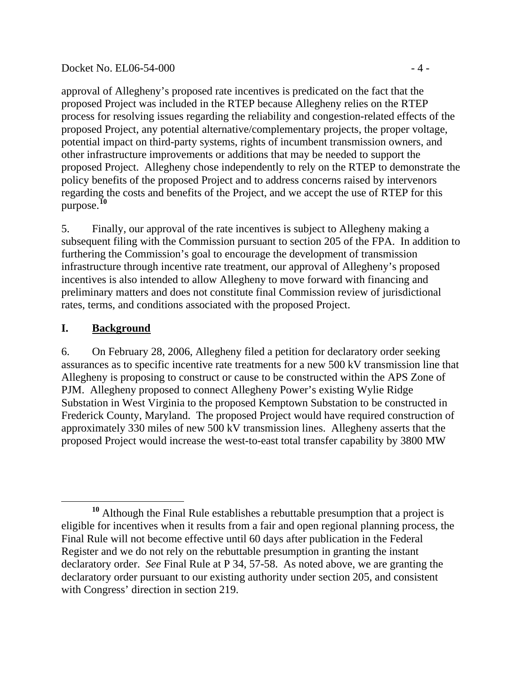### Docket No. EL06-54-000 - 4 -

approval of Allegheny's proposed rate incentives is predicated on the fact that the proposed Project was included in the RTEP because Allegheny relies on the RTEP process for resolving issues regarding the reliability and congestion-related effects of the proposed Project, any potential alternative/complementary projects, the proper voltage, potential impact on third-party systems, rights of incumbent transmission owners, and other infrastructure improvements or additions that may be needed to support the proposed Project. Allegheny chose independently to rely on the RTEP to demonstrate the policy benefits of the proposed Project and to address concerns raised by intervenors regarding the costs and benefits of the Project, and we accept the use of RTEP for this purpose.**[10](#page-3-0)**

5. Finally, our approval of the rate incentives is subject to Allegheny making a subsequent filing with the Commission pursuant to section 205 of the FPA. In addition to furthering the Commission's goal to encourage the development of transmission infrastructure through incentive rate treatment, our approval of Allegheny's proposed incentives is also intended to allow Allegheny to move forward with financing and preliminary matters and does not constitute final Commission review of jurisdictional rates, terms, and conditions associated with the proposed Project.

# **I. Background**

6. On February 28, 2006, Allegheny filed a petition for declaratory order seeking assurances as to specific incentive rate treatments for a new 500 kV transmission line that Allegheny is proposing to construct or cause to be constructed within the APS Zone of PJM. Allegheny proposed to connect Allegheny Power's existing Wylie Ridge Substation in West Virginia to the proposed Kemptown Substation to be constructed in Frederick County, Maryland. The proposed Project would have required construction of approximately 330 miles of new 500 kV transmission lines. Allegheny asserts that the proposed Project would increase the west-to-east total transfer capability by 3800 MW

<span id="page-3-0"></span> $\overline{a}$ **<sup>10</sup>** Although the Final Rule establishes a rebuttable presumption that a project is eligible for incentives when it results from a fair and open regional planning process, the Final Rule will not become effective until 60 days after publication in the Federal Register and we do not rely on the rebuttable presumption in granting the instant declaratory order. *See* Final Rule at P 34, 57-58. As noted above, we are granting the declaratory order pursuant to our existing authority under section 205, and consistent with Congress' direction in section 219.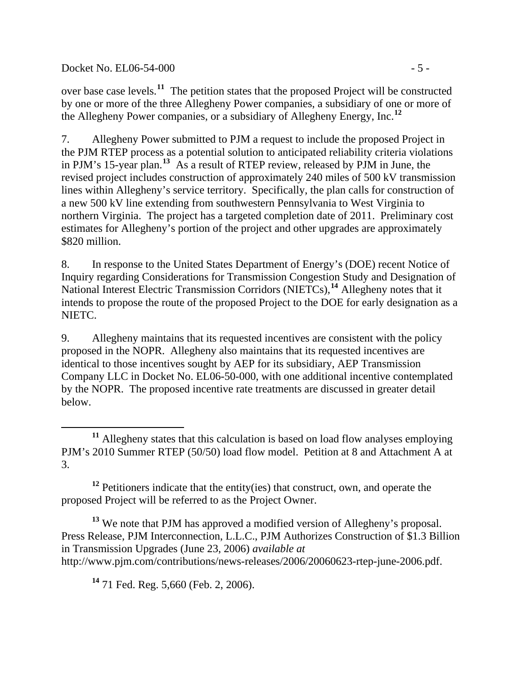### Docket No. EL06-54-000 - 5 -

 $\overline{a}$ 

over base case levels.**[11](#page-4-0)** The petition states that the proposed Project will be constructed by one or more of the three Allegheny Power companies, a subsidiary of one or more of the Allegheny Power companies, or a subsidiary of Allegheny Energy, Inc.**[12](#page-4-1)**

7. Allegheny Power submitted to PJM a request to include the proposed Project in the PJM RTEP process as a potential solution to anticipated reliability criteria violations in PJM's 15-year plan.**[13](#page-4-2)** As a result of RTEP review, released by PJM in June, the revised project includes construction of approximately 240 miles of 500 kV transmission lines within Allegheny's service territory. Specifically, the plan calls for construction of a new 500 kV line extending from southwestern Pennsylvania to West Virginia to northern Virginia. The project has a targeted completion date of 2011. Preliminary cost estimates for Allegheny's portion of the project and other upgrades are approximately \$820 million.

8. In response to the United States Department of Energy's (DOE) recent Notice of Inquiry regarding Considerations for Transmission Congestion Study and Designation of National Interest Electric Transmission Corridors (NIETCs),**[14](#page-4-3)** Allegheny notes that it intends to propose the route of the proposed Project to the DOE for early designation as a NIETC.

9. Allegheny maintains that its requested incentives are consistent with the policy proposed in the NOPR. Allegheny also maintains that its requested incentives are identical to those incentives sought by AEP for its subsidiary, AEP Transmission Company LLC in Docket No. EL06-50-000, with one additional incentive contemplated by the NOPR. The proposed incentive rate treatments are discussed in greater detail below.

<span id="page-4-1"></span><sup>12</sup> Petitioners indicate that the entity(ies) that construct, own, and operate the proposed Project will be referred to as the Project Owner.

<span id="page-4-3"></span><span id="page-4-2"></span>**<sup>13</sup>** We note that PJM has approved a modified version of Allegheny's proposal. Press Release, PJM Interconnection, L.L.C., PJM Authorizes Construction of \$1.3 Billion in Transmission Upgrades (June 23, 2006) *available at*  http://www.pjm.com/contributions/news-releases/2006/20060623-rtep-june-2006.pdf.

**<sup>14</sup>** 71 Fed. Reg. 5,660 (Feb. 2, 2006).

<span id="page-4-0"></span>**<sup>11</sup>** Allegheny states that this calculation is based on load flow analyses employing PJM's 2010 Summer RTEP (50/50) load flow model. Petition at 8 and Attachment A at 3.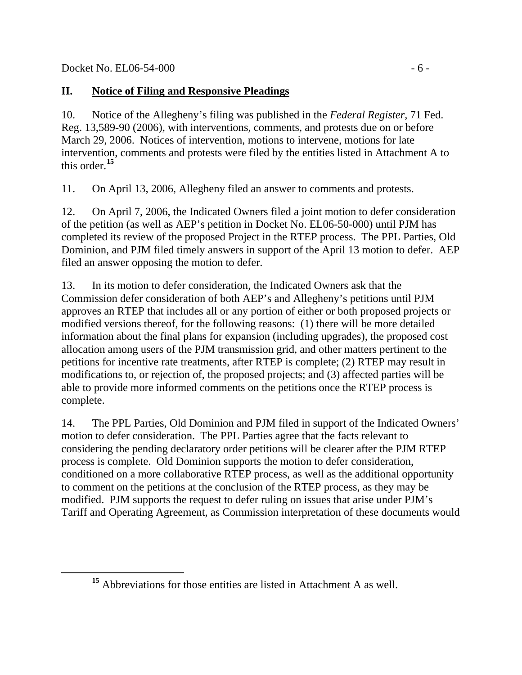<span id="page-5-0"></span> $\overline{a}$ 

# **II. Notice of Filing and Responsive Pleadings**

10. Notice of the Allegheny's filing was published in the *Federal Register*, 71 Fed. Reg. 13,589-90 (2006), with interventions, comments, and protests due on or before March 29, 2006. Notices of intervention, motions to intervene, motions for late intervention, comments and protests were filed by the entities listed in Attachment A to this order.**[15](#page-5-0)**

11. On April 13, 2006, Allegheny filed an answer to comments and protests.

12. On April 7, 2006, the Indicated Owners filed a joint motion to defer consideration of the petition (as well as AEP's petition in Docket No. EL06-50-000) until PJM has completed its review of the proposed Project in the RTEP process. The PPL Parties, Old Dominion, and PJM filed timely answers in support of the April 13 motion to defer. AEP filed an answer opposing the motion to defer.

13. In its motion to defer consideration, the Indicated Owners ask that the Commission defer consideration of both AEP's and Allegheny's petitions until PJM approves an RTEP that includes all or any portion of either or both proposed projects or modified versions thereof, for the following reasons: (1) there will be more detailed information about the final plans for expansion (including upgrades), the proposed cost allocation among users of the PJM transmission grid, and other matters pertinent to the petitions for incentive rate treatments, after RTEP is complete; (2) RTEP may result in modifications to, or rejection of, the proposed projects; and (3) affected parties will be able to provide more informed comments on the petitions once the RTEP process is complete.

14. The PPL Parties, Old Dominion and PJM filed in support of the Indicated Owners' motion to defer consideration. The PPL Parties agree that the facts relevant to considering the pending declaratory order petitions will be clearer after the PJM RTEP process is complete. Old Dominion supports the motion to defer consideration, conditioned on a more collaborative RTEP process, as well as the additional opportunity to comment on the petitions at the conclusion of the RTEP process, as they may be modified. PJM supports the request to defer ruling on issues that arise under PJM's Tariff and Operating Agreement, as Commission interpretation of these documents would

**<sup>15</sup>** Abbreviations for those entities are listed in Attachment A as well.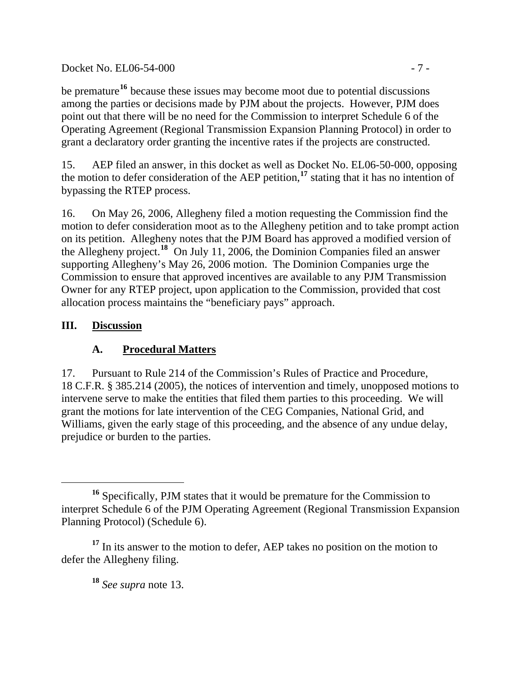# Docket No. EL06-54-000 - 7 -

be premature**[16](#page-6-0)** because these issues may become moot due to potential discussions among the parties or decisions made by PJM about the projects. However, PJM does point out that there will be no need for the Commission to interpret Schedule 6 of the Operating Agreement (Regional Transmission Expansion Planning Protocol) in order to grant a declaratory order granting the incentive rates if the projects are constructed.

15. AEP filed an answer, in this docket as well as Docket No. EL06-50-000, opposing the motion to defer consideration of the AEP petition,**[17](#page-6-1)** stating that it has no intention of bypassing the RTEP process.

16. On May 26, 2006, Allegheny filed a motion requesting the Commission find the motion to defer consideration moot as to the Allegheny petition and to take prompt action on its petition. Allegheny notes that the PJM Board has approved a modified version of the Allegheny project.<sup>[18](#page-6-2)</sup> On July 11, 2006, the Dominion Companies filed an answer supporting Allegheny's May 26, 2006 motion. The Dominion Companies urge the Commission to ensure that approved incentives are available to any PJM Transmission Owner for any RTEP project, upon application to the Commission, provided that cost allocation process maintains the "beneficiary pays" approach.

# **III. Discussion**

 $\overline{a}$ 

# **A. Procedural Matters**

17. Pursuant to Rule 214 of the Commission's Rules of Practice and Procedure, 18 C.F.R. § 385.214 (2005), the notices of intervention and timely, unopposed motions to intervene serve to make the entities that filed them parties to this proceeding. We will grant the motions for late intervention of the CEG Companies, National Grid, and Williams, given the early stage of this proceeding, and the absence of any undue delay, prejudice or burden to the parties.

**<sup>18</sup>** *See supra* note 13.

<span id="page-6-0"></span>**<sup>16</sup>** Specifically, PJM states that it would be premature for the Commission to interpret Schedule 6 of the PJM Operating Agreement (Regional Transmission Expansion Planning Protocol) (Schedule 6).

<span id="page-6-2"></span><span id="page-6-1"></span><sup>&</sup>lt;sup>17</sup> In its answer to the motion to defer, AEP takes no position on the motion to defer the Allegheny filing.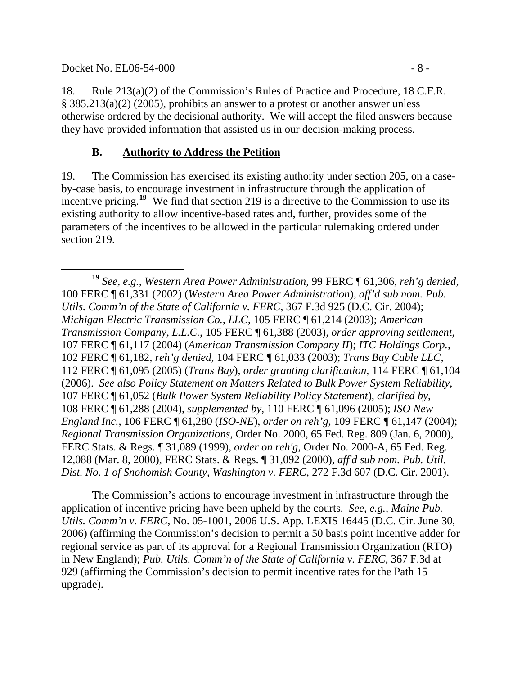Docket No. EL06-54-000 - 8 -

18. Rule 213(a)(2) of the Commission's Rules of Practice and Procedure, 18 C.F.R. § 385.213(a)(2) (2005), prohibits an answer to a protest or another answer unless otherwise ordered by the decisional authority. We will accept the filed answers because they have provided information that assisted us in our decision-making process.

# **B. Authority to Address the Petition**

19. The Commission has exercised its existing authority under section 205, on a caseby-case basis, to encourage investment in infrastructure through the application of incentive pricing.<sup>[19](#page-7-0)</sup> We find that section 219 is a directive to the Commission to use its existing authority to allow incentive-based rates and, further, provides some of the parameters of the incentives to be allowed in the particular rulemaking ordered under section 219.

The Commission's actions to encourage investment in infrastructure through the application of incentive pricing have been upheld by the courts. *See, e.g.*, *Maine Pub. Utils. Comm'n v. FERC*, No. 05-1001, 2006 U.S. App. LEXIS 16445 (D.C. Cir. June 30, 2006) (affirming the Commission's decision to permit a 50 basis point incentive adder for regional service as part of its approval for a Regional Transmission Organization (RTO) in New England); *Pub. Utils. Comm'n of the State of California v. FERC*, 367 F.3d at 929 (affirming the Commission's decision to permit incentive rates for the Path 15 upgrade).

<span id="page-7-0"></span> **<sup>19</sup>** *See, e.g.*, *Western Area Power Administration*, 99 FERC ¶ 61,306, *reh'g denied*, 100 FERC ¶ 61,331 (2002) (*Western Area Power Administration*), *aff'd sub nom. Pub. Utils. Comm'n of the State of California v. FERC*, 367 F.3d 925 (D.C. Cir. 2004); *Michigan Electric Transmission Co., LLC*, 105 FERC ¶ 61,214 (2003); *American Transmission Company, L.L.C.*, 105 FERC ¶ 61,388 (2003), *order approving settlement*, 107 FERC ¶ 61,117 (2004) (*American Transmission Company II*); *ITC Holdings Corp.*, 102 FERC ¶ 61,182, *reh'g denied*, 104 FERC ¶ 61,033 (2003); *Trans Bay Cable LLC*, 112 FERC ¶ 61,095 (2005) (*Trans Bay*), *order granting clarification*, 114 FERC ¶ 61,104 (2006). *See also Policy Statement on Matters Related to Bulk Power System Reliability*, 107 FERC ¶ 61,052 (*Bulk Power System Reliability Policy Statement*), *clarified by*, 108 FERC ¶ 61,288 (2004), *supplemented by*, 110 FERC ¶ 61,096 (2005); *ISO New England Inc.*, 106 FERC ¶ 61,280 (*ISO-NE*), *order on reh'g*, 109 FERC ¶ 61,147 (2004); *Regional Transmission Organizations*, Order No. 2000, 65 Fed. Reg. 809 (Jan. 6, 2000), FERC Stats. & Regs. ¶ 31,089 (1999), *order on reh'g*, Order No. 2000-A, 65 Fed. Reg. 12,088 (Mar. 8, 2000), FERC Stats. & Regs. ¶ 31,092 (2000), *aff'd sub nom. Pub. Util. Dist. No. 1 of Snohomish County, Washington v. FERC*, 272 F.3d 607 (D.C. Cir. 2001).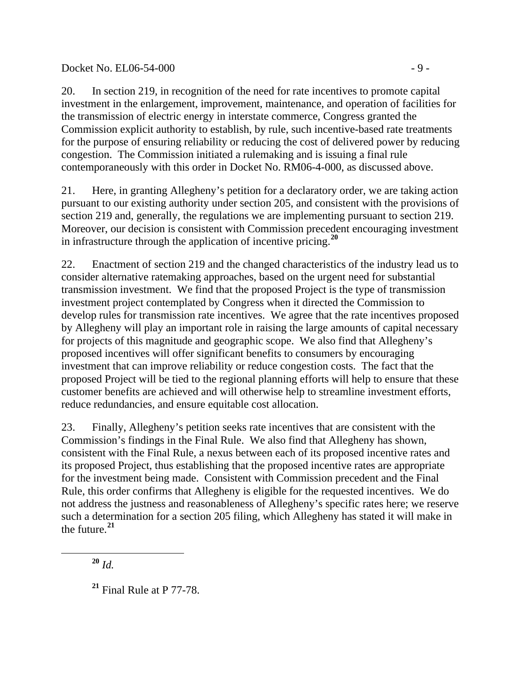### Docket No. EL06-54-000 - 9 -

20. In section 219, in recognition of the need for rate incentives to promote capital investment in the enlargement, improvement, maintenance, and operation of facilities for the transmission of electric energy in interstate commerce, Congress granted the Commission explicit authority to establish, by rule, such incentive-based rate treatments for the purpose of ensuring reliability or reducing the cost of delivered power by reducing congestion. The Commission initiated a rulemaking and is issuing a final rule contemporaneously with this order in Docket No. RM06-4-000, as discussed above.

21. Here, in granting Allegheny's petition for a declaratory order, we are taking action pursuant to our existing authority under section 205, and consistent with the provisions of section 219 and, generally, the regulations we are implementing pursuant to section 219. Moreover, our decision is consistent with Commission precedent encouraging investment in infrastructure through the application of incentive pricing.**[20](#page-8-0)**

22. Enactment of section 219 and the changed characteristics of the industry lead us to consider alternative ratemaking approaches, based on the urgent need for substantial transmission investment. We find that the proposed Project is the type of transmission investment project contemplated by Congress when it directed the Commission to develop rules for transmission rate incentives. We agree that the rate incentives proposed by Allegheny will play an important role in raising the large amounts of capital necessary for projects of this magnitude and geographic scope. We also find that Allegheny's proposed incentives will offer significant benefits to consumers by encouraging investment that can improve reliability or reduce congestion costs. The fact that the proposed Project will be tied to the regional planning efforts will help to ensure that these customer benefits are achieved and will otherwise help to streamline investment efforts, reduce redundancies, and ensure equitable cost allocation.

23. Finally, Allegheny's petition seeks rate incentives that are consistent with the Commission's findings in the Final Rule. We also find that Allegheny has shown, consistent with the Final Rule, a nexus between each of its proposed incentive rates and its proposed Project, thus establishing that the proposed incentive rates are appropriate for the investment being made. Consistent with Commission precedent and the Final Rule, this order confirms that Allegheny is eligible for the requested incentives. We do not address the justness and reasonableness of Allegheny's specific rates here; we reserve such a determination for a section 205 filing, which Allegheny has stated it will make in the future.**[21](#page-8-1)**

**<sup>20</sup>** *Id.*

<span id="page-8-1"></span><span id="page-8-0"></span>

**<sup>21</sup>** Final Rule at P 77-78.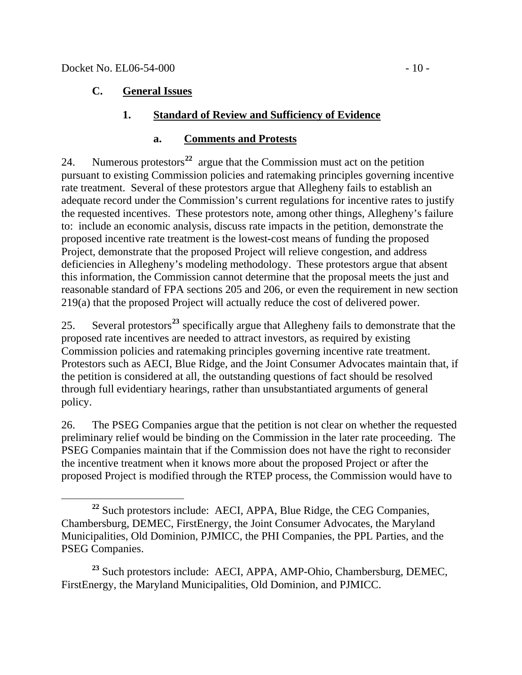$\overline{a}$ 

### **C. General Issues**

### **1. Standard of Review and Sufficiency of Evidence**

### **a. Comments and Protests**

24. Numerous protestors**[22](#page-9-0)** argue that the Commission must act on the petition pursuant to existing Commission policies and ratemaking principles governing incentive rate treatment. Several of these protestors argue that Allegheny fails to establish an adequate record under the Commission's current regulations for incentive rates to justify the requested incentives. These protestors note, among other things, Allegheny's failure to: include an economic analysis, discuss rate impacts in the petition, demonstrate the proposed incentive rate treatment is the lowest-cost means of funding the proposed Project, demonstrate that the proposed Project will relieve congestion, and address deficiencies in Allegheny's modeling methodology. These protestors argue that absent this information, the Commission cannot determine that the proposal meets the just and reasonable standard of FPA sections 205 and 206, or even the requirement in new section 219(a) that the proposed Project will actually reduce the cost of delivered power.

25. Several protestors**[23](#page-9-1)** specifically argue that Allegheny fails to demonstrate that the proposed rate incentives are needed to attract investors, as required by existing Commission policies and ratemaking principles governing incentive rate treatment. Protestors such as AECI, Blue Ridge, and the Joint Consumer Advocates maintain that, if the petition is considered at all, the outstanding questions of fact should be resolved through full evidentiary hearings, rather than unsubstantiated arguments of general policy.

26. The PSEG Companies argue that the petition is not clear on whether the requested preliminary relief would be binding on the Commission in the later rate proceeding. The PSEG Companies maintain that if the Commission does not have the right to reconsider the incentive treatment when it knows more about the proposed Project or after the proposed Project is modified through the RTEP process, the Commission would have to

<span id="page-9-0"></span>**<sup>22</sup>** Such protestors include: AECI, APPA, Blue Ridge, the CEG Companies, Chambersburg, DEMEC, FirstEnergy, the Joint Consumer Advocates, the Maryland Municipalities, Old Dominion, PJMICC, the PHI Companies, the PPL Parties, and the PSEG Companies.

<span id="page-9-1"></span>**<sup>23</sup>** Such protestors include: AECI, APPA, AMP-Ohio, Chambersburg, DEMEC, FirstEnergy, the Maryland Municipalities, Old Dominion, and PJMICC.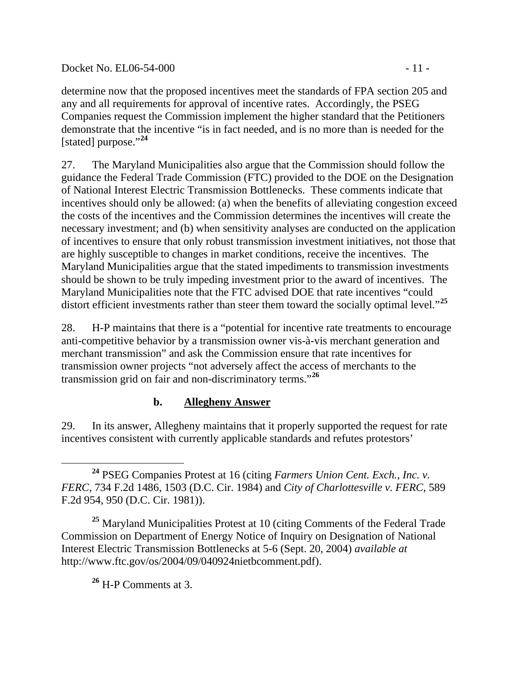Docket No. EL06-54-000 - 11 -

determine now that the proposed incentives meet the standards of FPA section 205 and any and all requirements for approval of incentive rates. Accordingly, the PSEG Companies request the Commission implement the higher standard that the Petitioners demonstrate that the incentive "is in fact needed, and is no more than is needed for the [stated] purpose."**[24](#page-10-0)**

27. The Maryland Municipalities also argue that the Commission should follow the guidance the Federal Trade Commission (FTC) provided to the DOE on the Designation of National Interest Electric Transmission Bottlenecks. These comments indicate that incentives should only be allowed: (a) when the benefits of alleviating congestion exceed the costs of the incentives and the Commission determines the incentives will create the necessary investment; and (b) when sensitivity analyses are conducted on the application of incentives to ensure that only robust transmission investment initiatives, not those that are highly susceptible to changes in market conditions, receive the incentives. The Maryland Municipalities argue that the stated impediments to transmission investments should be shown to be truly impeding investment prior to the award of incentives. The Maryland Municipalities note that the FTC advised DOE that rate incentives "could distort efficient investments rather than steer them toward the socially optimal level."**[25](#page-10-1)**

28. H-P maintains that there is a "potential for incentive rate treatments to encourage anti-competitive behavior by a transmission owner vis-à-vis merchant generation and merchant transmission" and ask the Commission ensure that rate incentives for transmission owner projects "not adversely affect the access of merchants to the transmission grid on fair and non-discriminatory terms."**[26](#page-10-2)**

# **b. Allegheny Answer**

29. In its answer, Allegheny maintains that it properly supported the request for rate incentives consistent with currently applicable standards and refutes protestors'

<span id="page-10-2"></span><span id="page-10-1"></span>**<sup>25</sup>** Maryland Municipalities Protest at 10 (citing Comments of the Federal Trade Commission on Department of Energy Notice of Inquiry on Designation of National Interest Electric Transmission Bottlenecks at 5-6 (Sept. 20, 2004) *available at* http://www.ftc.gov/os/2004/09/040924nietbcomment.pdf).

**<sup>26</sup>** H-P Comments at 3.

<span id="page-10-0"></span>**<sup>24</sup>** PSEG Companies Protest at 16 (citing *Farmers Union Cent. Exch., Inc. v. FERC*, 734 F.2d 1486, 1503 (D.C. Cir. 1984) and *City of Charlottesville v. FERC*, 589 F.2d 954, 950 (D.C. Cir. 1981)).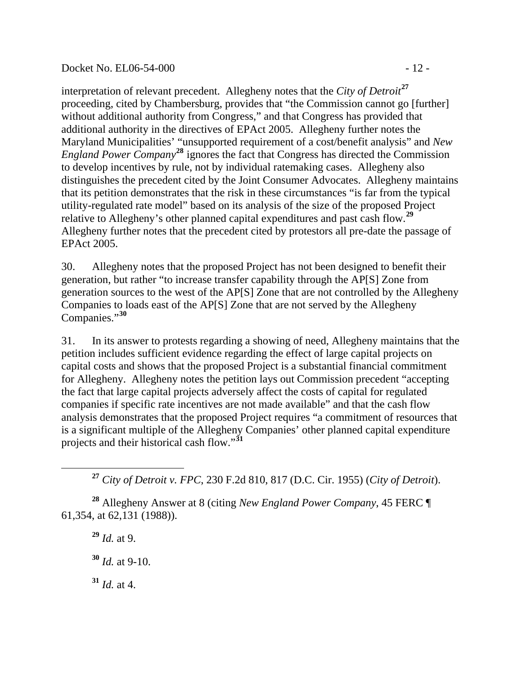#### Docket No. EL06-54-000 - 12 -

interpretation of relevant precedent. Allegheny notes that the *City of Detroit***[27](#page-11-0)** proceeding, cited by Chambersburg, provides that "the Commission cannot go [further] without additional authority from Congress," and that Congress has provided that additional authority in the directives of EPAct 2005. Allegheny further notes the Maryland Municipalities' "unsupported requirement of a cost/benefit analysis" and *New England Power Company***[28](#page-11-1)** ignores the fact that Congress has directed the Commission to develop incentives by rule, not by individual ratemaking cases. Allegheny also distinguishes the precedent cited by the Joint Consumer Advocates. Allegheny maintains that its petition demonstrates that the risk in these circumstances "is far from the typical utility-regulated rate model" based on its analysis of the size of the proposed Project relative to Allegheny's other planned capital expenditures and past cash flow.**[29](#page-11-2)** Allegheny further notes that the precedent cited by protestors all pre-date the passage of EPAct 2005.

30. Allegheny notes that the proposed Project has not been designed to benefit their generation, but rather "to increase transfer capability through the AP[S] Zone from generation sources to the west of the AP[S] Zone that are not controlled by the Allegheny Companies to loads east of the AP[S] Zone that are not served by the Allegheny Companies."**[30](#page-11-3)**

31. In its answer to protests regarding a showing of need, Allegheny maintains that the petition includes sufficient evidence regarding the effect of large capital projects on capital costs and shows that the proposed Project is a substantial financial commitment for Allegheny. Allegheny notes the petition lays out Commission precedent "accepting the fact that large capital projects adversely affect the costs of capital for regulated companies if specific rate incentives are not made available" and that the cash flow analysis demonstrates that the proposed Project requires "a commitment of resources that is a significant multiple of the Allegheny Companies' other planned capital expenditure projects and their historical cash flow."**[31](#page-11-4)**

**<sup>27</sup>** *City of Detroit v. FPC*, 230 F.2d 810, 817 (D.C. Cir. 1955) (*City of Detroit*).

<span id="page-11-3"></span><span id="page-11-2"></span><span id="page-11-1"></span>**<sup>28</sup>** Allegheny Answer at 8 (citing *New England Power Company*, 45 FERC ¶ 61,354, at 62,131 (1988)).

**<sup>29</sup>** *Id.* at 9. **<sup>30</sup>** *Id.* at 9-10.

<span id="page-11-0"></span> $\overline{a}$ 

<span id="page-11-4"></span> $31$  *Id.* at 4.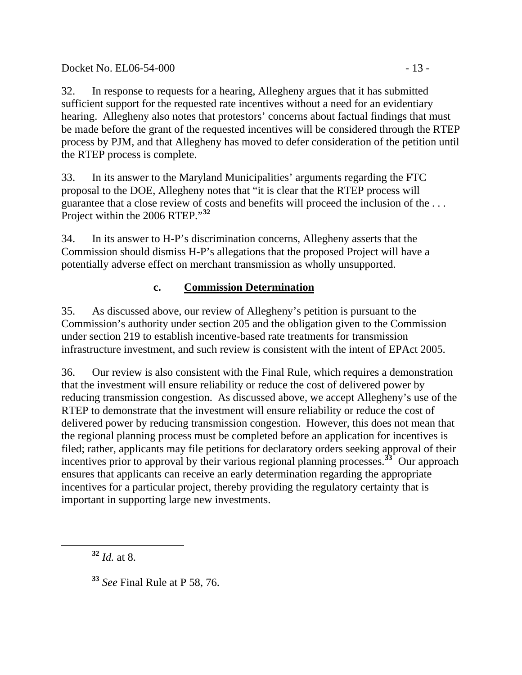32. In response to requests for a hearing, Allegheny argues that it has submitted sufficient support for the requested rate incentives without a need for an evidentiary hearing. Allegheny also notes that protestors' concerns about factual findings that must be made before the grant of the requested incentives will be considered through the RTEP process by PJM, and that Allegheny has moved to defer consideration of the petition until the RTEP process is complete.

33. In its answer to the Maryland Municipalities' arguments regarding the FTC proposal to the DOE, Allegheny notes that "it is clear that the RTEP process will guarantee that a close review of costs and benefits will proceed the inclusion of the . . . Project within the 2006 RTEP."**[32](#page-12-0)**

34. In its answer to H-P's discrimination concerns, Allegheny asserts that the Commission should dismiss H-P's allegations that the proposed Project will have a potentially adverse effect on merchant transmission as wholly unsupported.

# **c. Commission Determination**

35. As discussed above, our review of Allegheny's petition is pursuant to the Commission's authority under section 205 and the obligation given to the Commission under section 219 to establish incentive-based rate treatments for transmission infrastructure investment, and such review is consistent with the intent of EPAct 2005.

36. Our review is also consistent with the Final Rule, which requires a demonstration that the investment will ensure reliability or reduce the cost of delivered power by reducing transmission congestion. As discussed above, we accept Allegheny's use of the RTEP to demonstrate that the investment will ensure reliability or reduce the cost of delivered power by reducing transmission congestion. However, this does not mean that the regional planning process must be completed before an application for incentives is filed; rather, applicants may file petitions for declaratory orders seeking approval of their incentives prior to approval by their various regional planning processes.**[33](#page-12-1)** Our approach ensures that applicants can receive an early determination regarding the appropriate incentives for a particular project, thereby providing the regulatory certainty that is important in supporting large new investments.

**<sup>32</sup>** *Id.* at 8.

<span id="page-12-1"></span><span id="page-12-0"></span> $\overline{a}$ 

**<sup>33</sup>** *See* Final Rule at P 58, 76.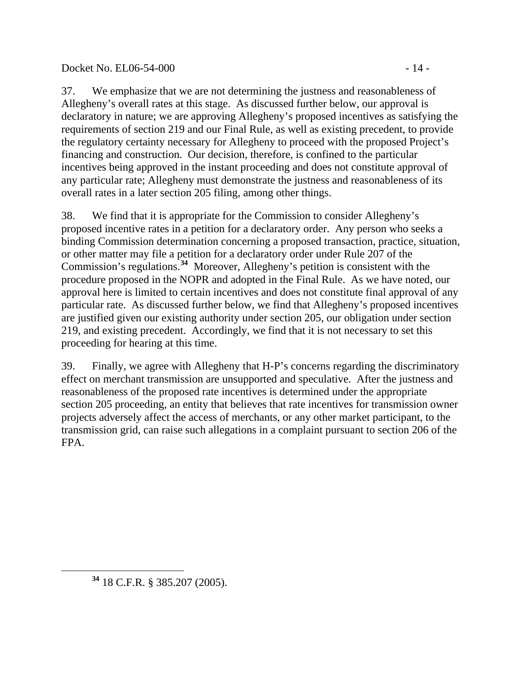## Docket No. EL06-54-000 - 14 -

37. We emphasize that we are not determining the justness and reasonableness of Allegheny's overall rates at this stage. As discussed further below, our approval is declaratory in nature; we are approving Allegheny's proposed incentives as satisfying the requirements of section 219 and our Final Rule, as well as existing precedent, to provide the regulatory certainty necessary for Allegheny to proceed with the proposed Project's financing and construction. Our decision, therefore, is confined to the particular incentives being approved in the instant proceeding and does not constitute approval of any particular rate; Allegheny must demonstrate the justness and reasonableness of its overall rates in a later section 205 filing, among other things.

38. We find that it is appropriate for the Commission to consider Allegheny's proposed incentive rates in a petition for a declaratory order. Any person who seeks a binding Commission determination concerning a proposed transaction, practice, situation, or other matter may file a petition for a declaratory order under Rule 207 of the Commission's regulations.**[34](#page-13-0)** Moreover, Allegheny's petition is consistent with the procedure proposed in the NOPR and adopted in the Final Rule. As we have noted, our approval here is limited to certain incentives and does not constitute final approval of any particular rate. As discussed further below, we find that Allegheny's proposed incentives are justified given our existing authority under section 205, our obligation under section 219, and existing precedent. Accordingly, we find that it is not necessary to set this proceeding for hearing at this time.

39. Finally, we agree with Allegheny that H-P's concerns regarding the discriminatory effect on merchant transmission are unsupported and speculative. After the justness and reasonableness of the proposed rate incentives is determined under the appropriate section 205 proceeding, an entity that believes that rate incentives for transmission owner projects adversely affect the access of merchants, or any other market participant, to the transmission grid, can raise such allegations in a complaint pursuant to section 206 of the FPA.

<span id="page-13-0"></span> $\overline{a}$ 

**<sup>34</sup>** 18 C.F.R. § 385.207 (2005).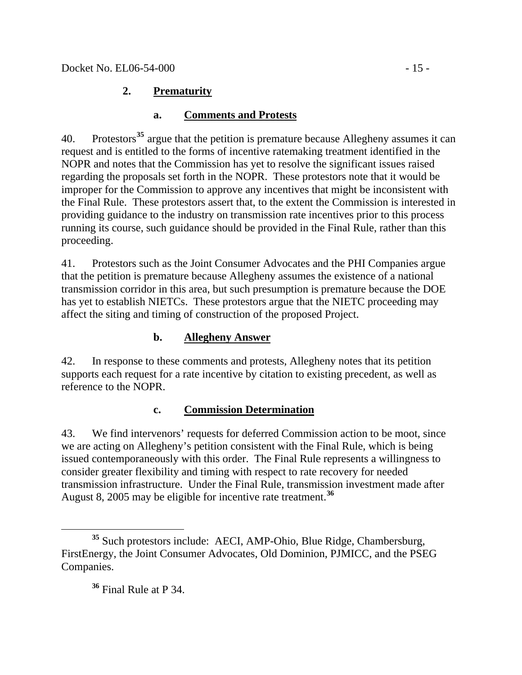# **2. Prematurity**

# **a. Comments and Protests**

40. Protestors**[35](#page-14-0)** argue that the petition is premature because Allegheny assumes it can request and is entitled to the forms of incentive ratemaking treatment identified in the NOPR and notes that the Commission has yet to resolve the significant issues raised regarding the proposals set forth in the NOPR. These protestors note that it would be improper for the Commission to approve any incentives that might be inconsistent with the Final Rule. These protestors assert that, to the extent the Commission is interested in providing guidance to the industry on transmission rate incentives prior to this process running its course, such guidance should be provided in the Final Rule, rather than this proceeding.

41. Protestors such as the Joint Consumer Advocates and the PHI Companies argue that the petition is premature because Allegheny assumes the existence of a national transmission corridor in this area, but such presumption is premature because the DOE has yet to establish NIETCs. These protestors argue that the NIETC proceeding may affect the siting and timing of construction of the proposed Project.

# **b. Allegheny Answer**

42. In response to these comments and protests, Allegheny notes that its petition supports each request for a rate incentive by citation to existing precedent, as well as reference to the NOPR.

## **c. Commission Determination**

43. We find intervenors' requests for deferred Commission action to be moot, since we are acting on Allegheny's petition consistent with the Final Rule, which is being issued contemporaneously with this order. The Final Rule represents a willingness to consider greater flexibility and timing with respect to rate recovery for needed transmission infrastructure. Under the Final Rule, transmission investment made after August 8, 2005 may be eligible for incentive rate treatment.**[36](#page-14-1)**

# **<sup>36</sup>** Final Rule at P 34.

<span id="page-14-1"></span><span id="page-14-0"></span> $\overline{a}$ **<sup>35</sup>** Such protestors include: AECI, AMP-Ohio, Blue Ridge, Chambersburg, FirstEnergy, the Joint Consumer Advocates, Old Dominion, PJMICC, and the PSEG Companies.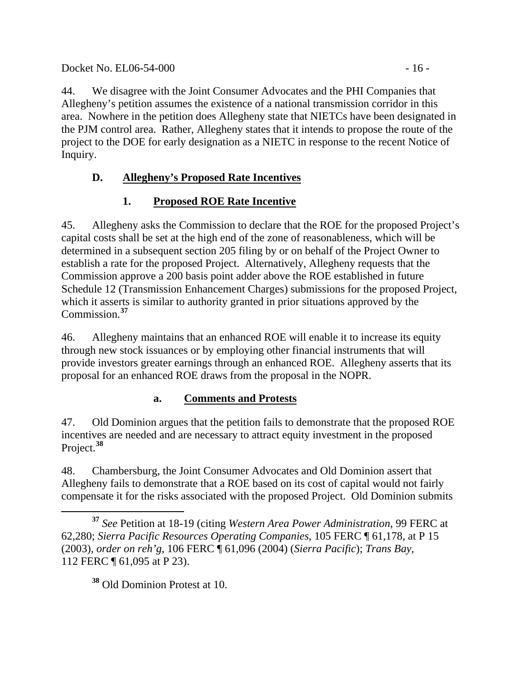44. We disagree with the Joint Consumer Advocates and the PHI Companies that Allegheny's petition assumes the existence of a national transmission corridor in this area. Nowhere in the petition does Allegheny state that NIETCs have been designated in the PJM control area. Rather, Allegheny states that it intends to propose the route of the project to the DOE for early designation as a NIETC in response to the recent Notice of Inquiry.

# **D. Allegheny's Proposed Rate Incentives**

# **1. Proposed ROE Rate Incentive**

45. Allegheny asks the Commission to declare that the ROE for the proposed Project's capital costs shall be set at the high end of the zone of reasonableness, which will be determined in a subsequent section 205 filing by or on behalf of the Project Owner to establish a rate for the proposed Project. Alternatively, Allegheny requests that the Commission approve a 200 basis point adder above the ROE established in future Schedule 12 (Transmission Enhancement Charges) submissions for the proposed Project, which it asserts is similar to authority granted in prior situations approved by the Commission.**[37](#page-15-0)**

46. Allegheny maintains that an enhanced ROE will enable it to increase its equity through new stock issuances or by employing other financial instruments that will provide investors greater earnings through an enhanced ROE. Allegheny asserts that its proposal for an enhanced ROE draws from the proposal in the NOPR.

# **a. Comments and Protests**

47. Old Dominion argues that the petition fails to demonstrate that the proposed ROE incentives are needed and are necessary to attract equity investment in the proposed Project.**[38](#page-15-1)**

48. Chambersburg, the Joint Consumer Advocates and Old Dominion assert that Allegheny fails to demonstrate that a ROE based on its cost of capital would not fairly compensate it for the risks associated with the proposed Project. Old Dominion submits

<span id="page-15-1"></span>**<sup>38</sup>** Old Dominion Protest at 10.

<span id="page-15-0"></span> $\overline{a}$ **<sup>37</sup>** *See* Petition at 18-19 (citing *Western Area Power Administration*, 99 FERC at 62,280; *Sierra Pacific Resources Operating Companies*, 105 FERC ¶ 61,178, at P 15 (2003), *order on reh'g*, 106 FERC ¶ 61,096 (2004) (*Sierra Pacific*); *Trans Bay*, 112 FERC ¶ 61,095 at P 23).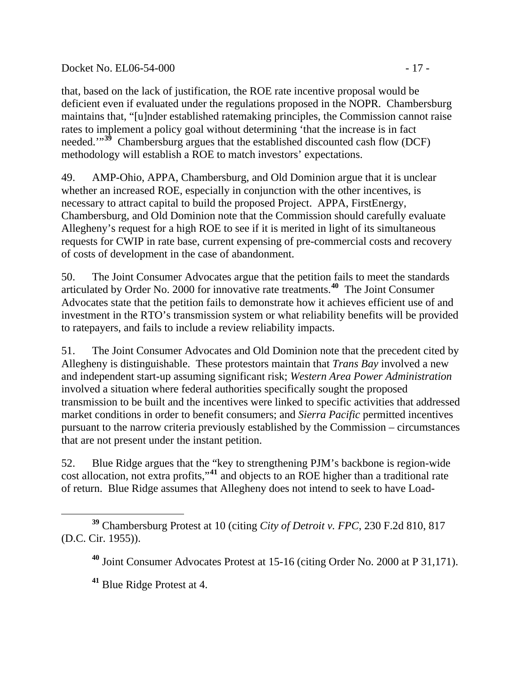### Docket No. EL06-54-000 - 17 -

that, based on the lack of justification, the ROE rate incentive proposal would be deficient even if evaluated under the regulations proposed in the NOPR. Chambersburg maintains that, "[u]nder established ratemaking principles, the Commission cannot raise rates to implement a policy goal without determining 'that the increase is in fact needed."<sup>[39](#page-16-0)</sup> Chambersburg argues that the established discounted cash flow (DCF) methodology will establish a ROE to match investors' expectations.

49. AMP-Ohio, APPA, Chambersburg, and Old Dominion argue that it is unclear whether an increased ROE, especially in conjunction with the other incentives, is necessary to attract capital to build the proposed Project. APPA, FirstEnergy, Chambersburg, and Old Dominion note that the Commission should carefully evaluate Allegheny's request for a high ROE to see if it is merited in light of its simultaneous requests for CWIP in rate base, current expensing of pre-commercial costs and recovery of costs of development in the case of abandonment.

50. The Joint Consumer Advocates argue that the petition fails to meet the standards articulated by Order No. 2000 for innovative rate treatments.**[40](#page-16-1)** The Joint Consumer Advocates state that the petition fails to demonstrate how it achieves efficient use of and investment in the RTO's transmission system or what reliability benefits will be provided to ratepayers, and fails to include a review reliability impacts.

51. The Joint Consumer Advocates and Old Dominion note that the precedent cited by Allegheny is distinguishable. These protestors maintain that *Trans Bay* involved a new and independent start-up assuming significant risk; *Western Area Power Administration* involved a situation where federal authorities specifically sought the proposed transmission to be built and the incentives were linked to specific activities that addressed market conditions in order to benefit consumers; and *Sierra Pacific* permitted incentives pursuant to the narrow criteria previously established by the Commission – circumstances that are not present under the instant petition.

52. Blue Ridge argues that the "key to strengthening PJM's backbone is region-wide cost allocation, not extra profits,"**[41](#page-16-2)** and objects to an ROE higher than a traditional rate of return. Blue Ridge assumes that Allegheny does not intend to seek to have Load-

<span id="page-16-1"></span><span id="page-16-0"></span> $\overline{a}$ **<sup>39</sup>** Chambersburg Protest at 10 (citing *City of Detroit v. FPC*, 230 F.2d 810, 817 (D.C. Cir. 1955)).

**<sup>40</sup>** Joint Consumer Advocates Protest at 15-16 (citing Order No. 2000 at P 31,171).

<span id="page-16-2"></span>**<sup>41</sup>** Blue Ridge Protest at 4.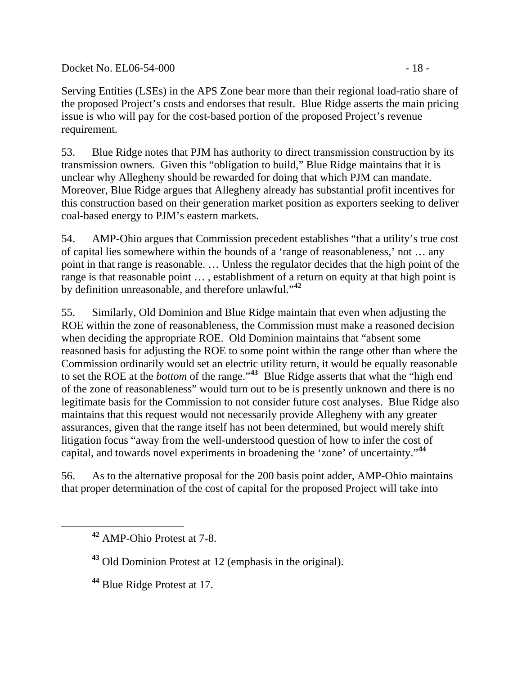Docket No. EL06-54-000 - 18 -

Serving Entities (LSEs) in the APS Zone bear more than their regional load-ratio share of the proposed Project's costs and endorses that result. Blue Ridge asserts the main pricing issue is who will pay for the cost-based portion of the proposed Project's revenue requirement.

53. Blue Ridge notes that PJM has authority to direct transmission construction by its transmission owners. Given this "obligation to build," Blue Ridge maintains that it is unclear why Allegheny should be rewarded for doing that which PJM can mandate. Moreover, Blue Ridge argues that Allegheny already has substantial profit incentives for this construction based on their generation market position as exporters seeking to deliver coal-based energy to PJM's eastern markets.

54. AMP-Ohio argues that Commission precedent establishes "that a utility's true cost of capital lies somewhere within the bounds of a 'range of reasonableness,' not … any point in that range is reasonable. … Unless the regulator decides that the high point of the range is that reasonable point ..., establishment of a return on equity at that high point is by definition unreasonable, and therefore unlawful."**[42](#page-17-0)**

55. Similarly, Old Dominion and Blue Ridge maintain that even when adjusting the ROE within the zone of reasonableness, the Commission must make a reasoned decision when deciding the appropriate ROE. Old Dominion maintains that "absent some reasoned basis for adjusting the ROE to some point within the range other than where the Commission ordinarily would set an electric utility return, it would be equally reasonable to set the ROE at the *bottom* of the range."**[43](#page-17-1)** Blue Ridge asserts that what the "high end of the zone of reasonableness" would turn out to be is presently unknown and there is no legitimate basis for the Commission to not consider future cost analyses. Blue Ridge also maintains that this request would not necessarily provide Allegheny with any greater assurances, given that the range itself has not been determined, but would merely shift litigation focus "away from the well-understood question of how to infer the cost of capital, and towards novel experiments in broadening the 'zone' of uncertainty."**[44](#page-17-2)**

56. As to the alternative proposal for the 200 basis point adder, AMP-Ohio maintains that proper determination of the cost of capital for the proposed Project will take into

<span id="page-17-2"></span><span id="page-17-1"></span><span id="page-17-0"></span> $\overline{a}$ 

**<sup>42</sup>** AMP-Ohio Protest at 7-8.

**<sup>43</sup>** Old Dominion Protest at 12 (emphasis in the original).

**<sup>44</sup>** Blue Ridge Protest at 17.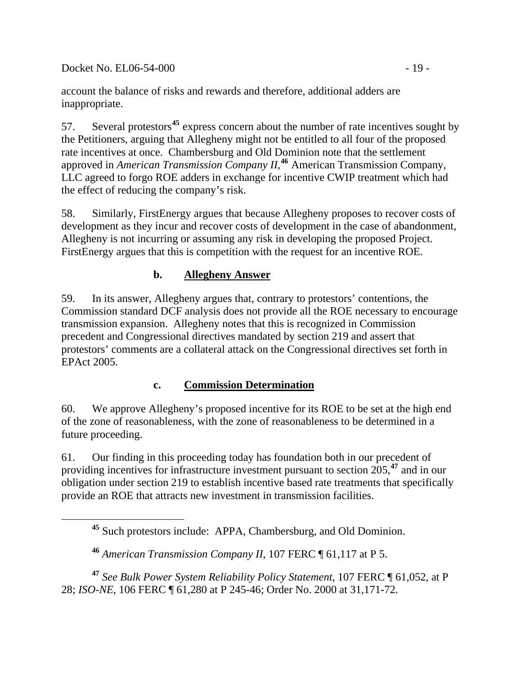Docket No. EL06-54-000 - 19 -

<span id="page-18-0"></span>

account the balance of risks and rewards and therefore, additional adders are inappropriate.

57. Several protestors**[45](#page-18-0)** express concern about the number of rate incentives sought by the Petitioners, arguing that Allegheny might not be entitled to all four of the proposed rate incentives at once. Chambersburg and Old Dominion note that the settlement approved in *American Transmission Company II*, **[46](#page-18-1)** American Transmission Company, LLC agreed to forgo ROE adders in exchange for incentive CWIP treatment which had the effect of reducing the company's risk.

58. Similarly, FirstEnergy argues that because Allegheny proposes to recover costs of development as they incur and recover costs of development in the case of abandonment, Allegheny is not incurring or assuming any risk in developing the proposed Project. FirstEnergy argues that this is competition with the request for an incentive ROE.

# **b. Allegheny Answer**

59. In its answer, Allegheny argues that, contrary to protestors' contentions, the Commission standard DCF analysis does not provide all the ROE necessary to encourage transmission expansion. Allegheny notes that this is recognized in Commission precedent and Congressional directives mandated by section 219 and assert that protestors' comments are a collateral attack on the Congressional directives set forth in EPAct 2005.

# **c. Commission Determination**

60. We approve Allegheny's proposed incentive for its ROE to be set at the high end of the zone of reasonableness, with the zone of reasonableness to be determined in a future proceeding.

61. Our finding in this proceeding today has foundation both in our precedent of providing incentives for infrastructure investment pursuant to section 205,**[47](#page-18-2)** and in our obligation under section 219 to establish incentive based rate treatments that specifically provide an ROE that attracts new investment in transmission facilities.

<span id="page-18-2"></span><span id="page-18-1"></span>**<sup>47</sup>** *See Bulk Power System Reliability Policy Statement*, 107 FERC ¶ 61,052, at P 28; *ISO-NE*, 106 FERC ¶ 61,280 at P 245-46; Order No. 2000 at 31,171-72.

**<sup>45</sup>** Such protestors include: APPA, Chambersburg, and Old Dominion.

**<sup>46</sup>** *American Transmission Company II*, 107 FERC ¶ 61,117 at P 5.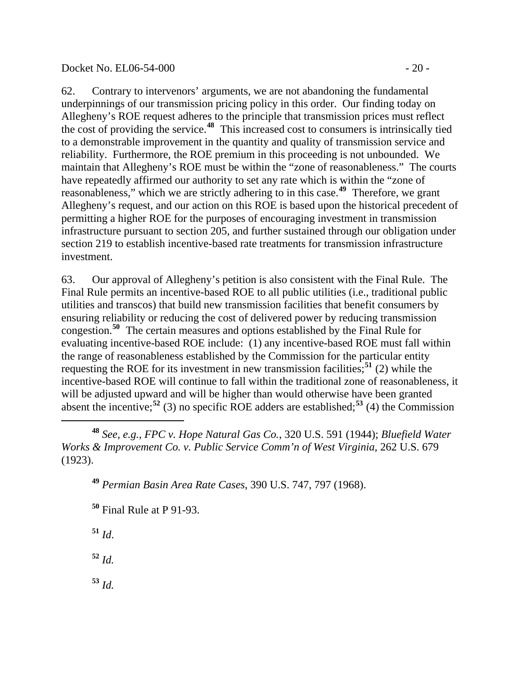#### Docket No. EL06-54-000 - 20 -

62. Contrary to intervenors' arguments, we are not abandoning the fundamental underpinnings of our transmission pricing policy in this order. Our finding today on Allegheny's ROE request adheres to the principle that transmission prices must reflect the cost of providing the service.**[48](#page-19-0)** This increased cost to consumers is intrinsically tied to a demonstrable improvement in the quantity and quality of transmission service and reliability. Furthermore, the ROE premium in this proceeding is not unbounded. We maintain that Allegheny's ROE must be within the "zone of reasonableness." The courts have repeatedly affirmed our authority to set any rate which is within the "zone of reasonableness," which we are strictly adhering to in this case.<sup>[49](#page-19-1)</sup> Therefore, we grant Allegheny's request, and our action on this ROE is based upon the historical precedent of permitting a higher ROE for the purposes of encouraging investment in transmission infrastructure pursuant to section 205, and further sustained through our obligation under section 219 to establish incentive-based rate treatments for transmission infrastructure investment.

63. Our approval of Allegheny's petition is also consistent with the Final Rule. The Final Rule permits an incentive-based ROE to all public utilities (i.e., traditional public utilities and transcos) that build new transmission facilities that benefit consumers by ensuring reliability or reducing the cost of delivered power by reducing transmission congestion.**[50](#page-19-2)** The certain measures and options established by the Final Rule for evaluating incentive-based ROE include: (1) any incentive-based ROE must fall within the range of reasonableness established by the Commission for the particular entity requesting the ROE for its investment in new transmission facilities;**[51](#page-19-3)** (2) while the incentive-based ROE will continue to fall within the traditional zone of reasonableness, it will be adjusted upward and will be higher than would otherwise have been granted absent the incentive;<sup>[52](#page-19-4)</sup> (3) no specific ROE adders are established;<sup>[53](#page-19-5)</sup> (4) the Commission

<span id="page-19-1"></span><span id="page-19-0"></span>**<sup>48</sup>** *See*, *e.g.*, *FPC v. Hope Natural Gas Co.*, 320 U.S. 591 (1944); *Bluefield Water Works & Improvement Co. v. Public Service Comm'n of West Virginia*, 262 U.S. 679 (1923).

**<sup>49</sup>** *Permian Basin Area Rate Cases*, 390 U.S. 747, 797 (1968).

**<sup>50</sup>** Final Rule at P 91-93.

<span id="page-19-2"></span>**<sup>51</sup>** *Id*.

<span id="page-19-3"></span>**<sup>52</sup>** *Id.*

<span id="page-19-5"></span><span id="page-19-4"></span>**<sup>53</sup>** *Id.*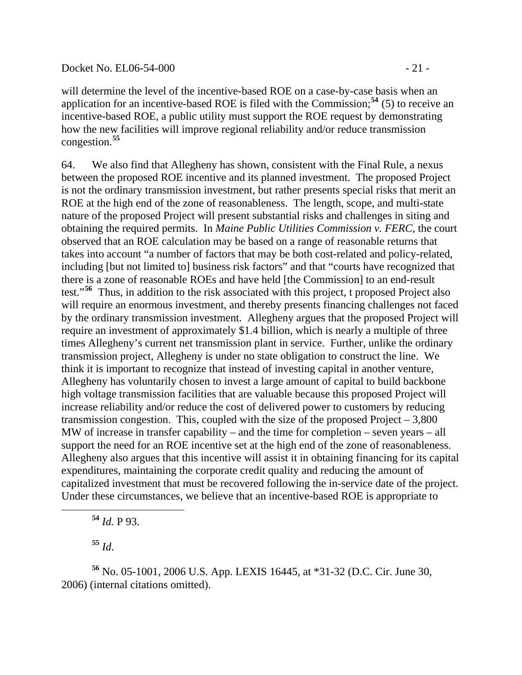#### Docket No. EL06-54-000 - 21 -

will determine the level of the incentive-based ROE on a case-by-case basis when an application for an incentive-based ROE is filed with the Commission;**[54](#page-20-0)** (5) to receive an incentive-based ROE, a public utility must support the ROE request by demonstrating how the new facilities will improve regional reliability and/or reduce transmission congestion.**[55](#page-20-1)**

64. We also find that Allegheny has shown, consistent with the Final Rule, a nexus between the proposed ROE incentive and its planned investment. The proposed Project is not the ordinary transmission investment, but rather presents special risks that merit an ROE at the high end of the zone of reasonableness. The length, scope, and multi-state nature of the proposed Project will present substantial risks and challenges in siting and obtaining the required permits. In *Maine Public Utilities Commission v. FERC*, the court observed that an ROE calculation may be based on a range of reasonable returns that takes into account "a number of factors that may be both cost-related and policy-related, including [but not limited to] business risk factors" and that "courts have recognized that there is a zone of reasonable ROEs and have held [the Commission] to an end-result test."**[56](#page-20-2)** Thus, in addition to the risk associated with this project, t proposed Project also will require an enormous investment, and thereby presents financing challenges not faced by the ordinary transmission investment. Allegheny argues that the proposed Project will require an investment of approximately \$1.4 billion, which is nearly a multiple of three times Allegheny's current net transmission plant in service. Further, unlike the ordinary transmission project, Allegheny is under no state obligation to construct the line. We think it is important to recognize that instead of investing capital in another venture, Allegheny has voluntarily chosen to invest a large amount of capital to build backbone high voltage transmission facilities that are valuable because this proposed Project will increase reliability and/or reduce the cost of delivered power to customers by reducing transmission congestion. This, coupled with the size of the proposed Project  $-3,800$ MW of increase in transfer capability – and the time for completion – seven years – all support the need for an ROE incentive set at the high end of the zone of reasonableness. Allegheny also argues that this incentive will assist it in obtaining financing for its capital expenditures, maintaining the corporate credit quality and reducing the amount of capitalized investment that must be recovered following the in-service date of the project. Under these circumstances, we believe that an incentive-based ROE is appropriate to

**<sup>54</sup>** *Id.* P 93.

**<sup>55</sup>** *Id*.

<span id="page-20-0"></span> $\overline{a}$ 

<span id="page-20-2"></span><span id="page-20-1"></span>**<sup>56</sup>** No. 05-1001, 2006 U.S. App. LEXIS 16445, at \*31-32 (D.C. Cir. June 30, 2006) (internal citations omitted).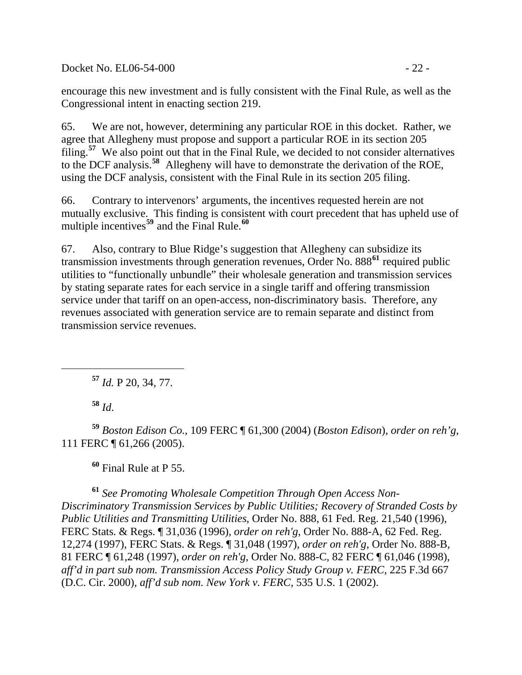Docket No. EL06-54-000 - 22 -

encourage this new investment and is fully consistent with the Final Rule, as well as the Congressional intent in enacting section 219.

65. We are not, however, determining any particular ROE in this docket. Rather, we agree that Allegheny must propose and support a particular ROE in its section 205 filing.**[57](#page-21-0)** We also point out that in the Final Rule, we decided to not consider alternatives to the DCF analysis.**[58](#page-21-1)** Allegheny will have to demonstrate the derivation of the ROE, using the DCF analysis, consistent with the Final Rule in its section 205 filing.

66. Contrary to intervenors' arguments, the incentives requested herein are not mutually exclusive. This finding is consistent with court precedent that has upheld use of multiple incentives**[59](#page-21-2)** and the Final Rule.**[60](#page-21-3)**

67. Also, contrary to Blue Ridge's suggestion that Allegheny can subsidize its transmission investments through generation revenues, Order No. 888**[61](#page-21-4)** required public utilities to "functionally unbundle" their wholesale generation and transmission services by stating separate rates for each service in a single tariff and offering transmission service under that tariff on an open-access, non-discriminatory basis. Therefore, any revenues associated with generation service are to remain separate and distinct from transmission service revenues.

**<sup>57</sup>** *Id.* P 20, 34, 77.

**<sup>58</sup>** *Id*.

<span id="page-21-0"></span> $\overline{a}$ 

<span id="page-21-2"></span><span id="page-21-1"></span>**<sup>59</sup>** *Boston Edison Co.*, 109 FERC ¶ 61,300 (2004) (*Boston Edison*), *order on reh'g*, 111 FERC ¶ 61,266 (2005).

**<sup>60</sup>** Final Rule at P 55.

<span id="page-21-4"></span><span id="page-21-3"></span>**<sup>61</sup>** *See Promoting Wholesale Competition Through Open Access Non-Discriminatory Transmission Services by Public Utilities; Recovery of Stranded Costs by Public Utilities and Transmitting Utilities*, Order No. 888, 61 Fed. Reg. 21,540 (1996), FERC Stats. & Regs. ¶ 31,036 (1996), *order on reh'g*, Order No. 888-A, 62 Fed. Reg. 12,274 (1997), FERC Stats. & Regs. ¶ 31,048 (1997), *order on reh'g*, Order No. 888-B, 81 FERC ¶ 61,248 (1997), *order on reh'g*, Order No. 888-C, 82 FERC ¶ 61,046 (1998), *aff'd in part sub nom. Transmission Access Policy Study Group v. FERC*, 225 F.3d 667 (D.C. Cir. 2000), *aff'd sub nom. New York v. FERC*, 535 U.S. 1 (2002).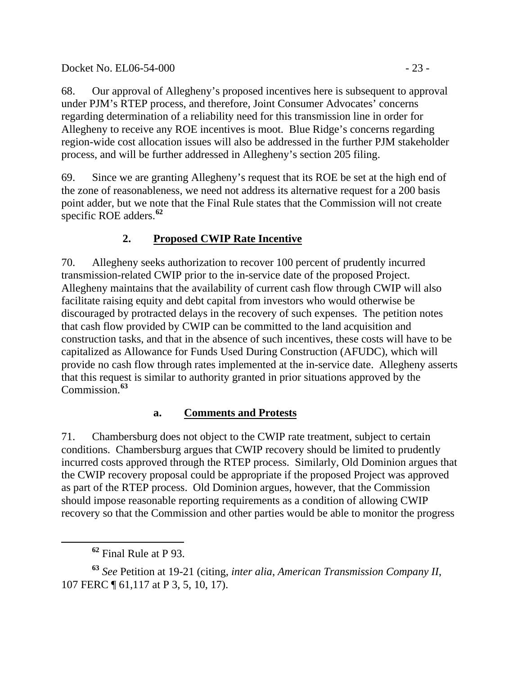Docket No. EL06-54-000 - 23 -

68. Our approval of Allegheny's proposed incentives here is subsequent to approval under PJM's RTEP process, and therefore, Joint Consumer Advocates' concerns regarding determination of a reliability need for this transmission line in order for Allegheny to receive any ROE incentives is moot. Blue Ridge's concerns regarding region-wide cost allocation issues will also be addressed in the further PJM stakeholder process, and will be further addressed in Allegheny's section 205 filing.

69. Since we are granting Allegheny's request that its ROE be set at the high end of the zone of reasonableness, we need not address its alternative request for a 200 basis point adder, but we note that the Final Rule states that the Commission will not create specific ROE adders.**[62](#page-22-0)**

# **2. Proposed CWIP Rate Incentive**

70. Allegheny seeks authorization to recover 100 percent of prudently incurred transmission-related CWIP prior to the in-service date of the proposed Project. Allegheny maintains that the availability of current cash flow through CWIP will also facilitate raising equity and debt capital from investors who would otherwise be discouraged by protracted delays in the recovery of such expenses. The petition notes that cash flow provided by CWIP can be committed to the land acquisition and construction tasks, and that in the absence of such incentives, these costs will have to be capitalized as Allowance for Funds Used During Construction (AFUDC), which will provide no cash flow through rates implemented at the in-service date. Allegheny asserts that this request is similar to authority granted in prior situations approved by the Commission.**[63](#page-22-1)**

# **a. Comments and Protests**

71. Chambersburg does not object to the CWIP rate treatment, subject to certain conditions. Chambersburg argues that CWIP recovery should be limited to prudently incurred costs approved through the RTEP process. Similarly, Old Dominion argues that the CWIP recovery proposal could be appropriate if the proposed Project was approved as part of the RTEP process. Old Dominion argues, however, that the Commission should impose reasonable reporting requirements as a condition of allowing CWIP recovery so that the Commission and other parties would be able to monitor the progress

 $\overline{a}$ 

<span id="page-22-1"></span><span id="page-22-0"></span>**<sup>63</sup>** *See* Petition at 19-21 (citing, *inter alia*, *American Transmission Company II*, 107 FERC ¶ 61,117 at P 3, 5, 10, 17).

**<sup>62</sup>** Final Rule at P 93.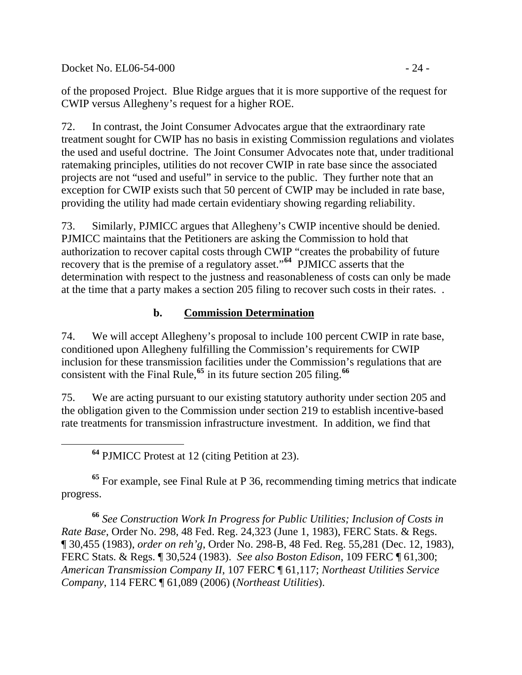Docket No. EL06-54-000 - 24 -

<span id="page-23-0"></span> $\overline{a}$ 

of the proposed Project. Blue Ridge argues that it is more supportive of the request for CWIP versus Allegheny's request for a higher ROE.

72. In contrast, the Joint Consumer Advocates argue that the extraordinary rate treatment sought for CWIP has no basis in existing Commission regulations and violates the used and useful doctrine. The Joint Consumer Advocates note that, under traditional ratemaking principles, utilities do not recover CWIP in rate base since the associated projects are not "used and useful" in service to the public. They further note that an exception for CWIP exists such that 50 percent of CWIP may be included in rate base, providing the utility had made certain evidentiary showing regarding reliability.

73. Similarly, PJMICC argues that Allegheny's CWIP incentive should be denied. PJMICC maintains that the Petitioners are asking the Commission to hold that authorization to recover capital costs through CWIP "creates the probability of future recovery that is the premise of a regulatory asset."**[64](#page-23-0)** PJMICC asserts that the determination with respect to the justness and reasonableness of costs can only be made at the time that a party makes a section 205 filing to recover such costs in their rates. .

# **b. Commission Determination**

74. We will accept Allegheny's proposal to include 100 percent CWIP in rate base, conditioned upon Allegheny fulfilling the Commission's requirements for CWIP inclusion for these transmission facilities under the Commission's regulations that are consistent with the Final Rule,**[65](#page-23-1)** in its future section 205 filing.**[66](#page-23-2)**

75. We are acting pursuant to our existing statutory authority under section 205 and the obligation given to the Commission under section 219 to establish incentive-based rate treatments for transmission infrastructure investment. In addition, we find that

**<sup>64</sup>** PJMICC Protest at 12 (citing Petition at 23).

<span id="page-23-1"></span>**<sup>65</sup>** For example, see Final Rule at P 36, recommending timing metrics that indicate progress.

<span id="page-23-2"></span>**<sup>66</sup>** *See Construction Work In Progress for Public Utilities; Inclusion of Costs in Rate Base*, Order No. 298, 48 Fed. Reg. 24,323 (June 1, 1983), FERC Stats. & Regs. ¶ 30,455 (1983), *order on reh'g*, Order No. 298-B, 48 Fed. Reg. 55,281 (Dec. 12, 1983), FERC Stats. & Regs. ¶ 30,524 (1983). *See also Boston Edison*, 109 FERC ¶ 61,300; *American Transmission Company II*, 107 FERC ¶ 61,117; *Northeast Utilities Service Company*, 114 FERC ¶ 61,089 (2006) (*Northeast Utilities*).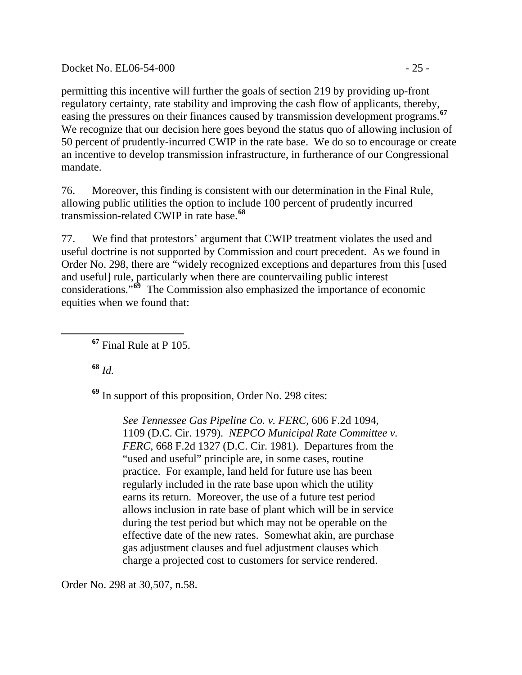Docket No. EL06-54-000 - 25 -

permitting this incentive will further the goals of section 219 by providing up-front regulatory certainty, rate stability and improving the cash flow of applicants, thereby, easing the pressures on their finances caused by transmission development programs.**[67](#page-24-0)** We recognize that our decision here goes beyond the status quo of allowing inclusion of 50 percent of prudently-incurred CWIP in the rate base. We do so to encourage or create an incentive to develop transmission infrastructure, in furtherance of our Congressional mandate.

76. Moreover, this finding is consistent with our determination in the Final Rule, allowing public utilities the option to include 100 percent of prudently incurred transmission-related CWIP in rate base.**[68](#page-24-1)**

77. We find that protestors' argument that CWIP treatment violates the used and useful doctrine is not supported by Commission and court precedent. As we found in Order No. 298, there are "widely recognized exceptions and departures from this [used and useful] rule, particularly when there are countervailing public interest considerations."**[69](#page-24-2)** The Commission also emphasized the importance of economic equities when we found that:

**<sup>67</sup>** Final Rule at P 105.

**<sup>68</sup>** *Id.*

<span id="page-24-1"></span><span id="page-24-0"></span> $\overline{a}$ 

<span id="page-24-2"></span>**<sup>69</sup>** In support of this proposition, Order No. 298 cites:

*See Tennessee Gas Pipeline Co. v. FERC*, 606 F.2d 1094, 1109 (D.C. Cir. 1979). *NEPCO Municipal Rate Committee v. FERC*, 668 F.2d 1327 (D.C. Cir. 1981). Departures from the "used and useful" principle are, in some cases, routine practice. For example, land held for future use has been regularly included in the rate base upon which the utility earns its return. Moreover, the use of a future test period allows inclusion in rate base of plant which will be in service during the test period but which may not be operable on the effective date of the new rates. Somewhat akin, are purchase gas adjustment clauses and fuel adjustment clauses which charge a projected cost to customers for service rendered.

Order No. 298 at 30,507, n.58.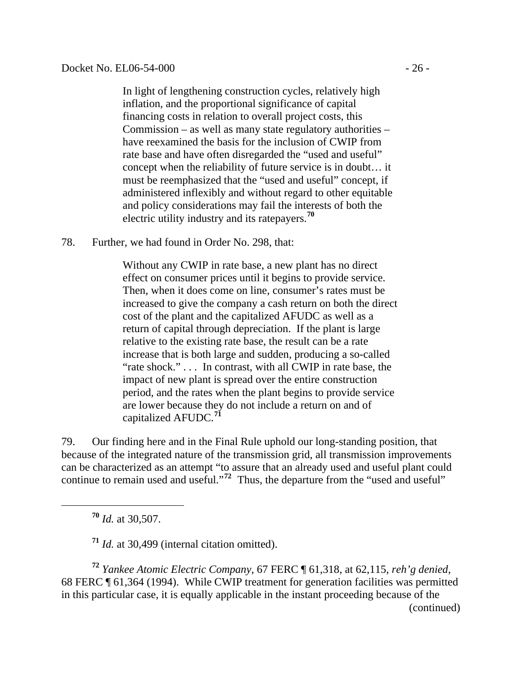In light of lengthening construction cycles, relatively high inflation, and the proportional significance of capital financing costs in relation to overall project costs, this Commission – as well as many state regulatory authorities – have reexamined the basis for the inclusion of CWIP from rate base and have often disregarded the "used and useful" concept when the reliability of future service is in doubt… it must be reemphasized that the "used and useful" concept, if administered inflexibly and without regard to other equitable and policy considerations may fail the interests of both the electric utility industry and its ratepayers.**[70](#page-25-0)**

78. Further, we had found in Order No. 298, that:

> Without any CWIP in rate base, a new plant has no direct effect on consumer prices until it begins to provide service. Then, when it does come on line, consumer's rates must be increased to give the company a cash return on both the direct cost of the plant and the capitalized AFUDC as well as a return of capital through depreciation. If the plant is large relative to the existing rate base, the result can be a rate increase that is both large and sudden, producing a so-called "rate shock." . . . In contrast, with all CWIP in rate base, the impact of new plant is spread over the entire construction period, and the rates when the plant begins to provide service are lower because they do not include a return on and of capitalized AFUDC.**[71](#page-25-1)**

79. Our finding here and in the Final Rule uphold our long-standing position, that because of the integrated nature of the transmission grid, all transmission improvements can be characterized as an attempt "to assure that an already used and useful plant could continue to remain used and useful."<sup>[72](#page-25-2)</sup> Thus, the departure from the "used and useful"

**<sup>70</sup>** *Id.* at 30,507.

<span id="page-25-0"></span> $\overline{a}$ 

**<sup>71</sup>** *Id.* at 30,499 (internal citation omitted).

<span id="page-25-2"></span><span id="page-25-1"></span>(continued) **<sup>72</sup>** *Yankee Atomic Electric Company*, 67 FERC ¶ 61,318, at 62,115, *reh'g denied*, 68 FERC ¶ 61,364 (1994). While CWIP treatment for generation facilities was permitted in this particular case, it is equally applicable in the instant proceeding because of the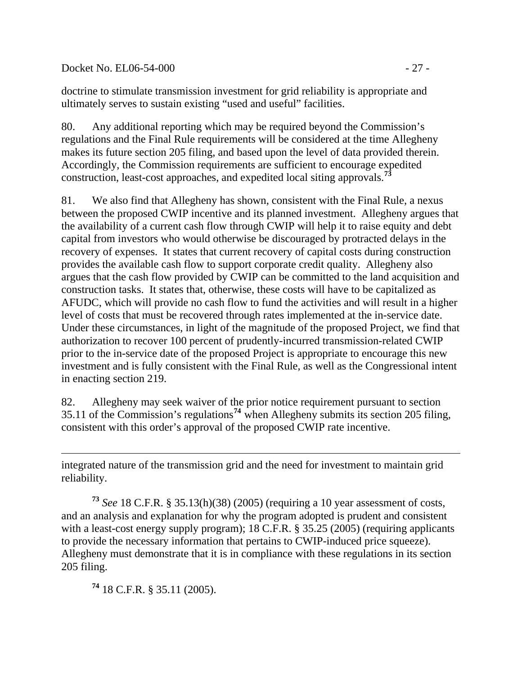Docket No. EL06-54-000 - 27 -

doctrine to stimulate transmission investment for grid reliability is appropriate and ultimately serves to sustain existing "used and useful" facilities.

80. Any additional reporting which may be required beyond the Commission's regulations and the Final Rule requirements will be considered at the time Allegheny makes its future section 205 filing, and based upon the level of data provided therein. Accordingly, the Commission requirements are sufficient to encourage expedited construction, least-cost approaches, and expedited local siting approvals.**[73](#page-26-0)**

81. We also find that Allegheny has shown, consistent with the Final Rule, a nexus between the proposed CWIP incentive and its planned investment. Allegheny argues that the availability of a current cash flow through CWIP will help it to raise equity and debt capital from investors who would otherwise be discouraged by protracted delays in the recovery of expenses. It states that current recovery of capital costs during construction provides the available cash flow to support corporate credit quality. Allegheny also argues that the cash flow provided by CWIP can be committed to the land acquisition and construction tasks. It states that, otherwise, these costs will have to be capitalized as AFUDC, which will provide no cash flow to fund the activities and will result in a higher level of costs that must be recovered through rates implemented at the in-service date. Under these circumstances, in light of the magnitude of the proposed Project, we find that authorization to recover 100 percent of prudently-incurred transmission-related CWIP prior to the in-service date of the proposed Project is appropriate to encourage this new investment and is fully consistent with the Final Rule, as well as the Congressional intent in enacting section 219.

82. Allegheny may seek waiver of the prior notice requirement pursuant to section 35.11 of the Commission's regulations**[74](#page-26-1)** when Allegheny submits its section 205 filing, consistent with this order's approval of the proposed CWIP rate incentive.

integrated nature of the transmission grid and the need for investment to maintain grid reliability.

<span id="page-26-0"></span>**<sup>73</sup>** *See* 18 C.F.R. § 35.13(h)(38) (2005) (requiring a 10 year assessment of costs, and an analysis and explanation for why the program adopted is prudent and consistent with a least-cost energy supply program); 18 C.F.R. § 35.25 (2005) (requiring applicants to provide the necessary information that pertains to CWIP-induced price squeeze). Allegheny must demonstrate that it is in compliance with these regulations in its section 205 filing.

<span id="page-26-1"></span>**<sup>74</sup>** 18 C.F.R. § 35.11 (2005).

 $\overline{a}$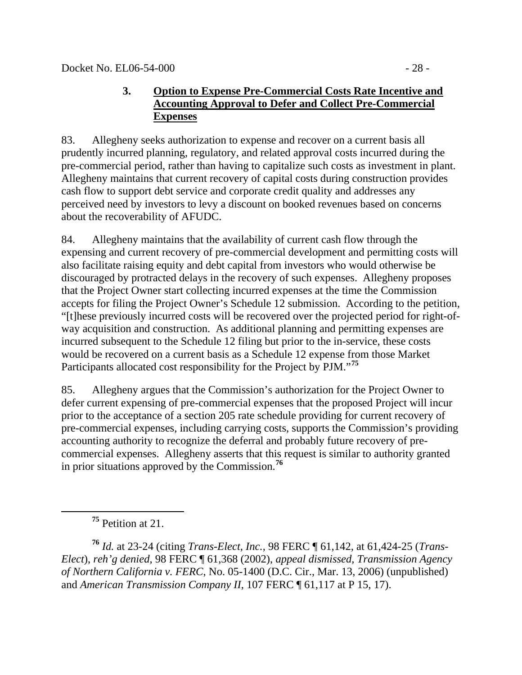## **3. Option to Expense Pre-Commercial Costs Rate Incentive and Accounting Approval to Defer and Collect Pre-Commercial Expenses**

83. Allegheny seeks authorization to expense and recover on a current basis all prudently incurred planning, regulatory, and related approval costs incurred during the pre-commercial period, rather than having to capitalize such costs as investment in plant. Allegheny maintains that current recovery of capital costs during construction provides cash flow to support debt service and corporate credit quality and addresses any perceived need by investors to levy a discount on booked revenues based on concerns about the recoverability of AFUDC.

84. Allegheny maintains that the availability of current cash flow through the expensing and current recovery of pre-commercial development and permitting costs will also facilitate raising equity and debt capital from investors who would otherwise be discouraged by protracted delays in the recovery of such expenses. Allegheny proposes that the Project Owner start collecting incurred expenses at the time the Commission accepts for filing the Project Owner's Schedule 12 submission. According to the petition, "[t]hese previously incurred costs will be recovered over the projected period for right-ofway acquisition and construction. As additional planning and permitting expenses are incurred subsequent to the Schedule 12 filing but prior to the in-service, these costs would be recovered on a current basis as a Schedule 12 expense from those Market Participants allocated cost responsibility for the Project by PJM."**[75](#page-27-0)**

85. Allegheny argues that the Commission's authorization for the Project Owner to defer current expensing of pre-commercial expenses that the proposed Project will incur prior to the acceptance of a section 205 rate schedule providing for current recovery of pre-commercial expenses, including carrying costs, supports the Commission's providing accounting authority to recognize the deferral and probably future recovery of precommercial expenses. Allegheny asserts that this request is similar to authority granted in prior situations approved by the Commission.**[76](#page-27-1)**

<span id="page-27-0"></span> $\overline{a}$ 

**<sup>75</sup>** Petition at 21.

<span id="page-27-1"></span>**<sup>76</sup>** *Id.* at 23-24 (citing *Trans-Elect, Inc.*, 98 FERC ¶ 61,142, at 61,424-25 (*Trans-Elect*), *reh'g denied*, 98 FERC ¶ 61,368 (2002), *appeal dismissed*, *Transmission Agency of Northern California v. FERC*, No. 05-1400 (D.C. Cir., Mar. 13, 2006) (unpublished) and *American Transmission Company II*, 107 FERC ¶ 61,117 at P 15, 17).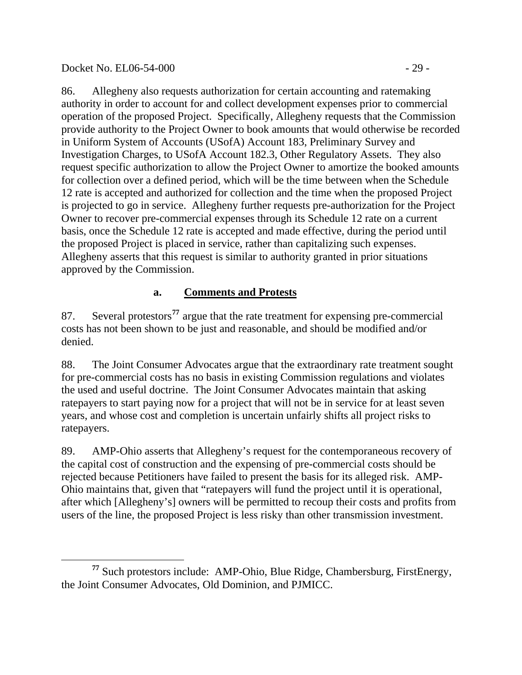Docket No. EL06-54-000 - 29 -

86. Allegheny also requests authorization for certain accounting and ratemaking authority in order to account for and collect development expenses prior to commercial operation of the proposed Project. Specifically, Allegheny requests that the Commission provide authority to the Project Owner to book amounts that would otherwise be recorded in Uniform System of Accounts (USofA) Account 183, Preliminary Survey and Investigation Charges, to USofA Account 182.3, Other Regulatory Assets. They also request specific authorization to allow the Project Owner to amortize the booked amounts for collection over a defined period, which will be the time between when the Schedule 12 rate is accepted and authorized for collection and the time when the proposed Project is projected to go in service. Allegheny further requests pre-authorization for the Project Owner to recover pre-commercial expenses through its Schedule 12 rate on a current basis, once the Schedule 12 rate is accepted and made effective, during the period until the proposed Project is placed in service, rather than capitalizing such expenses. Allegheny asserts that this request is similar to authority granted in prior situations approved by the Commission.

# **a. Comments and Protests**

87. Several protestors**[77](#page-28-0)** argue that the rate treatment for expensing pre-commercial costs has not been shown to be just and reasonable, and should be modified and/or denied.

88. The Joint Consumer Advocates argue that the extraordinary rate treatment sought for pre-commercial costs has no basis in existing Commission regulations and violates the used and useful doctrine. The Joint Consumer Advocates maintain that asking ratepayers to start paying now for a project that will not be in service for at least seven years, and whose cost and completion is uncertain unfairly shifts all project risks to ratepayers.

89. AMP-Ohio asserts that Allegheny's request for the contemporaneous recovery of the capital cost of construction and the expensing of pre-commercial costs should be rejected because Petitioners have failed to present the basis for its alleged risk. AMP-Ohio maintains that, given that "ratepayers will fund the project until it is operational, after which [Allegheny's] owners will be permitted to recoup their costs and profits from users of the line, the proposed Project is less risky than other transmission investment.

<span id="page-28-0"></span> $\overline{a}$ **<sup>77</sup>** Such protestors include: AMP-Ohio, Blue Ridge, Chambersburg, FirstEnergy, the Joint Consumer Advocates, Old Dominion, and PJMICC.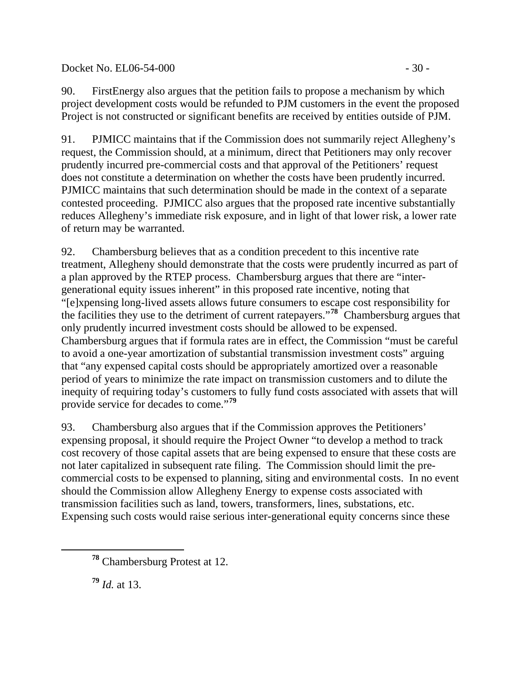## Docket No. EL06-54-000 - 30 -

90. FirstEnergy also argues that the petition fails to propose a mechanism by which project development costs would be refunded to PJM customers in the event the proposed Project is not constructed or significant benefits are received by entities outside of PJM.

91. PJMICC maintains that if the Commission does not summarily reject Allegheny's request, the Commission should, at a minimum, direct that Petitioners may only recover prudently incurred pre-commercial costs and that approval of the Petitioners' request does not constitute a determination on whether the costs have been prudently incurred. PJMICC maintains that such determination should be made in the context of a separate contested proceeding. PJMICC also argues that the proposed rate incentive substantially reduces Allegheny's immediate risk exposure, and in light of that lower risk, a lower rate of return may be warranted.

92. Chambersburg believes that as a condition precedent to this incentive rate treatment, Allegheny should demonstrate that the costs were prudently incurred as part of a plan approved by the RTEP process. Chambersburg argues that there are "intergenerational equity issues inherent" in this proposed rate incentive, noting that "[e]xpensing long-lived assets allows future consumers to escape cost responsibility for the facilities they use to the detriment of current ratepayers."**[78](#page-29-0)** Chambersburg argues that only prudently incurred investment costs should be allowed to be expensed. Chambersburg argues that if formula rates are in effect, the Commission "must be careful to avoid a one-year amortization of substantial transmission investment costs" arguing that "any expensed capital costs should be appropriately amortized over a reasonable period of years to minimize the rate impact on transmission customers and to dilute the inequity of requiring today's customers to fully fund costs associated with assets that will provide service for decades to come."**[79](#page-29-1)**

93. Chambersburg also argues that if the Commission approves the Petitioners' expensing proposal, it should require the Project Owner "to develop a method to track cost recovery of those capital assets that are being expensed to ensure that these costs are not later capitalized in subsequent rate filing. The Commission should limit the precommercial costs to be expensed to planning, siting and environmental costs. In no event should the Commission allow Allegheny Energy to expense costs associated with transmission facilities such as land, towers, transformers, lines, substations, etc. Expensing such costs would raise serious inter-generational equity concerns since these

**<sup>79</sup>** *Id.* at 13.

<span id="page-29-1"></span><span id="page-29-0"></span>

**<sup>78</sup>** Chambersburg Protest at 12.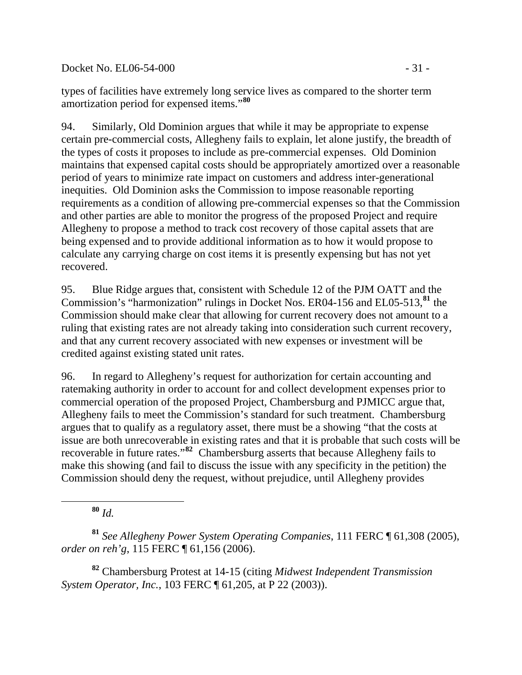Docket No. EL06-54-000 - 31 -

types of facilities have extremely long service lives as compared to the shorter term amortization period for expensed items."**[80](#page-30-0)**

94. Similarly, Old Dominion argues that while it may be appropriate to expense certain pre-commercial costs, Allegheny fails to explain, let alone justify, the breadth of the types of costs it proposes to include as pre-commercial expenses. Old Dominion maintains that expensed capital costs should be appropriately amortized over a reasonable period of years to minimize rate impact on customers and address inter-generational inequities. Old Dominion asks the Commission to impose reasonable reporting requirements as a condition of allowing pre-commercial expenses so that the Commission and other parties are able to monitor the progress of the proposed Project and require Allegheny to propose a method to track cost recovery of those capital assets that are being expensed and to provide additional information as to how it would propose to calculate any carrying charge on cost items it is presently expensing but has not yet recovered.

95. Blue Ridge argues that, consistent with Schedule 12 of the PJM OATT and the Commission's "harmonization" rulings in Docket Nos. ER04-156 and EL05-513,**[81](#page-30-1)** the Commission should make clear that allowing for current recovery does not amount to a ruling that existing rates are not already taking into consideration such current recovery, and that any current recovery associated with new expenses or investment will be credited against existing stated unit rates.

96. In regard to Allegheny's request for authorization for certain accounting and ratemaking authority in order to account for and collect development expenses prior to commercial operation of the proposed Project, Chambersburg and PJMICC argue that, Allegheny fails to meet the Commission's standard for such treatment. Chambersburg argues that to qualify as a regulatory asset, there must be a showing "that the costs at issue are both unrecoverable in existing rates and that it is probable that such costs will be recoverable in future rates."**[82](#page-30-2)** Chambersburg asserts that because Allegheny fails to make this showing (and fail to discuss the issue with any specificity in the petition) the Commission should deny the request, without prejudice, until Allegheny provides

**<sup>80</sup>** *Id.*

<span id="page-30-0"></span> $\overline{a}$ 

<span id="page-30-1"></span>**<sup>81</sup>** *See Allegheny Power System Operating Companies*, 111 FERC ¶ 61,308 (2005), *order on reh'g*, 115 FERC ¶ 61,156 (2006).

<span id="page-30-2"></span>**<sup>82</sup>** Chambersburg Protest at 14-15 (citing *Midwest Independent Transmission System Operator, Inc.*, 103 FERC ¶ 61,205, at P 22 (2003)).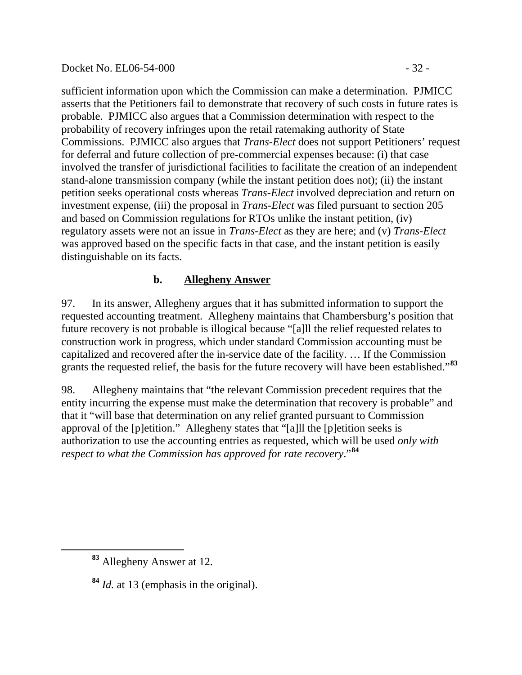#### Docket No. EL06-54-000 - 32 -

sufficient information upon which the Commission can make a determination. PJMICC asserts that the Petitioners fail to demonstrate that recovery of such costs in future rates is probable. PJMICC also argues that a Commission determination with respect to the probability of recovery infringes upon the retail ratemaking authority of State Commissions. PJMICC also argues that *Trans-Elect* does not support Petitioners' request for deferral and future collection of pre-commercial expenses because: (i) that case involved the transfer of jurisdictional facilities to facilitate the creation of an independent stand-alone transmission company (while the instant petition does not); (ii) the instant petition seeks operational costs whereas *Trans-Elect* involved depreciation and return on investment expense, (iii) the proposal in *Trans-Elect* was filed pursuant to section 205 and based on Commission regulations for RTOs unlike the instant petition, (iv) regulatory assets were not an issue in *Trans-Elect* as they are here; and (v) *Trans-Elect* was approved based on the specific facts in that case, and the instant petition is easily distinguishable on its facts.

# **b. Allegheny Answer**

97. In its answer, Allegheny argues that it has submitted information to support the requested accounting treatment. Allegheny maintains that Chambersburg's position that future recovery is not probable is illogical because "[a]ll the relief requested relates to construction work in progress, which under standard Commission accounting must be capitalized and recovered after the in-service date of the facility. … If the Commission grants the requested relief, the basis for the future recovery will have been established."**[83](#page-31-0)**

98. Allegheny maintains that "the relevant Commission precedent requires that the entity incurring the expense must make the determination that recovery is probable" and that it "will base that determination on any relief granted pursuant to Commission approval of the [p]etition." Allegheny states that "[a]ll the [p]etition seeks is authorization to use the accounting entries as requested, which will be used *only with respect to what the Commission has approved for rate recovery*."**[84](#page-31-1)**

<span id="page-31-1"></span><span id="page-31-0"></span>

**<sup>83</sup>** Allegheny Answer at 12.

**<sup>84</sup>** *Id.* at 13 (emphasis in the original).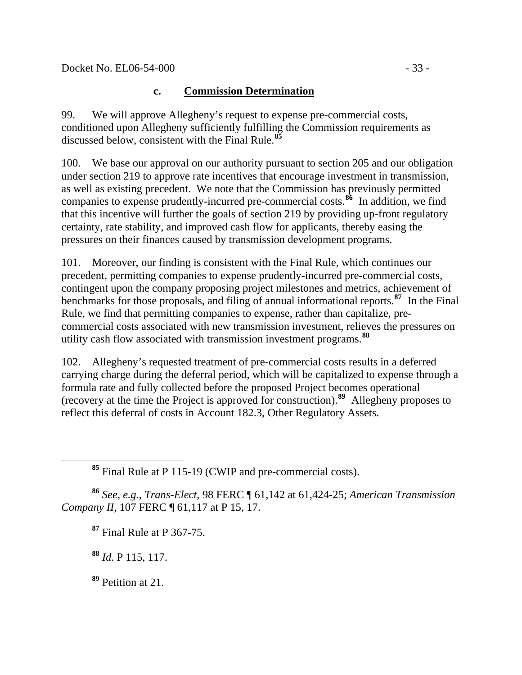# **c. Commission Determination**

99. We will approve Allegheny's request to expense pre-commercial costs, conditioned upon Allegheny sufficiently fulfilling the Commission requirements as discussed below, consistent with the Final Rule.**[85](#page-32-0)**

100. We base our approval on our authority pursuant to section 205 and our obligation under section 219 to approve rate incentives that encourage investment in transmission, as well as existing precedent. We note that the Commission has previously permitted companies to expense prudently-incurred pre-commercial costs.**[86](#page-32-1)** In addition, we find that this incentive will further the goals of section 219 by providing up-front regulatory certainty, rate stability, and improved cash flow for applicants, thereby easing the pressures on their finances caused by transmission development programs.

101. Moreover, our finding is consistent with the Final Rule, which continues our precedent, permitting companies to expense prudently-incurred pre-commercial costs, contingent upon the company proposing project milestones and metrics, achievement of benchmarks for those proposals, and filing of annual informational reports.**[87](#page-32-2)** In the Final Rule, we find that permitting companies to expense, rather than capitalize, precommercial costs associated with new transmission investment, relieves the pressures on utility cash flow associated with transmission investment programs.**[88](#page-32-3)**

102. Allegheny's requested treatment of pre-commercial costs results in a deferred carrying charge during the deferral period, which will be capitalized to expense through a formula rate and fully collected before the proposed Project becomes operational (recovery at the time the Project is approved for construction).**[89](#page-32-4)** Allegheny proposes to reflect this deferral of costs in Account 182.3, Other Regulatory Assets.

**<sup>85</sup>** Final Rule at P 115-19 (CWIP and pre-commercial costs).

<span id="page-32-2"></span><span id="page-32-1"></span>**<sup>86</sup>** *See, e.g.*, *Trans-Elect*, 98 FERC ¶ 61,142 at 61,424-25; *American Transmission Company II*, 107 FERC ¶ 61,117 at P 15, 17.

**<sup>87</sup>** Final Rule at P 367-75.

**<sup>88</sup>** *Id.* P 115, 117.

<span id="page-32-0"></span>

<span id="page-32-4"></span><span id="page-32-3"></span>**<sup>89</sup>** Petition at 21.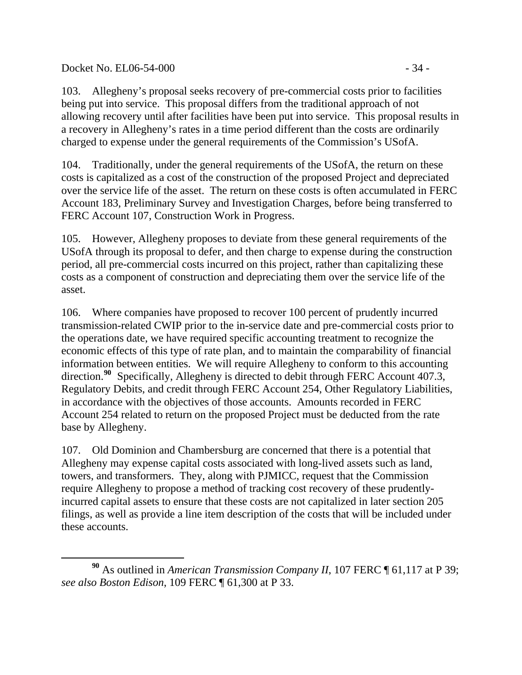Docket No. EL06-54-000 - 34 -

 $\overline{a}$ 

103. Allegheny's proposal seeks recovery of pre-commercial costs prior to facilities being put into service. This proposal differs from the traditional approach of not allowing recovery until after facilities have been put into service. This proposal results in a recovery in Allegheny's rates in a time period different than the costs are ordinarily charged to expense under the general requirements of the Commission's USofA.

104. Traditionally, under the general requirements of the USofA, the return on these costs is capitalized as a cost of the construction of the proposed Project and depreciated over the service life of the asset. The return on these costs is often accumulated in FERC Account 183, Preliminary Survey and Investigation Charges, before being transferred to FERC Account 107, Construction Work in Progress.

105. However, Allegheny proposes to deviate from these general requirements of the USofA through its proposal to defer, and then charge to expense during the construction period, all pre-commercial costs incurred on this project, rather than capitalizing these costs as a component of construction and depreciating them over the service life of the asset.

106. Where companies have proposed to recover 100 percent of prudently incurred transmission-related CWIP prior to the in-service date and pre-commercial costs prior to the operations date, we have required specific accounting treatment to recognize the economic effects of this type of rate plan, and to maintain the comparability of financial information between entities. We will require Allegheny to conform to this accounting direction.<sup>[90](#page-33-0)</sup> Specifically, Allegheny is directed to debit through FERC Account 407.3, Regulatory Debits, and credit through FERC Account 254, Other Regulatory Liabilities, in accordance with the objectives of those accounts. Amounts recorded in FERC Account 254 related to return on the proposed Project must be deducted from the rate base by Allegheny.

107. Old Dominion and Chambersburg are concerned that there is a potential that Allegheny may expense capital costs associated with long-lived assets such as land, towers, and transformers. They, along with PJMICC, request that the Commission require Allegheny to propose a method of tracking cost recovery of these prudentlyincurred capital assets to ensure that these costs are not capitalized in later section 205 filings, as well as provide a line item description of the costs that will be included under these accounts.

<span id="page-33-0"></span>**<sup>90</sup>** As outlined in *American Transmission Company II*, 107 FERC ¶ 61,117 at P 39; *see also Boston Edison*, 109 FERC ¶ 61,300 at P 33.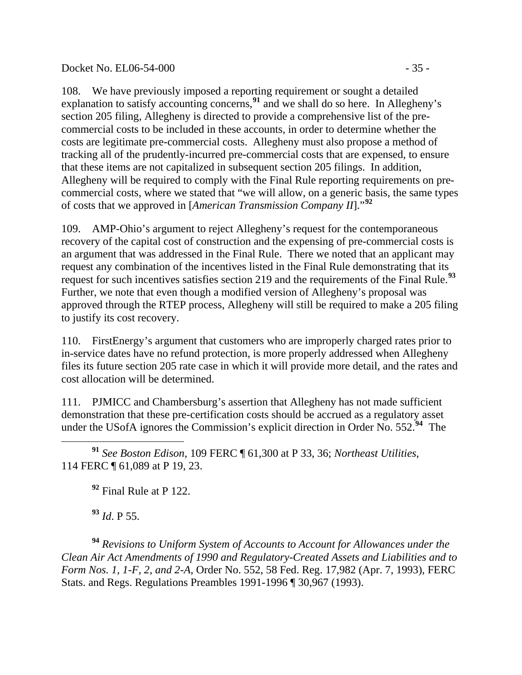#### Docket No. EL06-54-000 - 35 -

108. We have previously imposed a reporting requirement or sought a detailed explanation to satisfy accounting concerns,**[91](#page-34-0)** and we shall do so here. In Allegheny's section 205 filing, Allegheny is directed to provide a comprehensive list of the precommercial costs to be included in these accounts, in order to determine whether the costs are legitimate pre-commercial costs. Allegheny must also propose a method of tracking all of the prudently-incurred pre-commercial costs that are expensed, to ensure that these items are not capitalized in subsequent section 205 filings. In addition, Allegheny will be required to comply with the Final Rule reporting requirements on precommercial costs, where we stated that "we will allow, on a generic basis, the same types of costs that we approved in [*American Transmission Company II*]."**[92](#page-34-1)**

109. AMP-Ohio's argument to reject Allegheny's request for the contemporaneous recovery of the capital cost of construction and the expensing of pre-commercial costs is an argument that was addressed in the Final Rule. There we noted that an applicant may request any combination of the incentives listed in the Final Rule demonstrating that its request for such incentives satisfies section 219 and the requirements of the Final Rule.**[93](#page-34-2)** Further, we note that even though a modified version of Allegheny's proposal was approved through the RTEP process, Allegheny will still be required to make a 205 filing to justify its cost recovery.

110. FirstEnergy's argument that customers who are improperly charged rates prior to in-service dates have no refund protection, is more properly addressed when Allegheny files its future section 205 rate case in which it will provide more detail, and the rates and cost allocation will be determined.

111. PJMICC and Chambersburg's assertion that Allegheny has not made sufficient demonstration that these pre-certification costs should be accrued as a regulatory asset under the USofA ignores the Commission's explicit direction in Order No. 552.**[94](#page-34-3)** The

<span id="page-34-0"></span> $\overline{a}$ **<sup>91</sup>** *See Boston Edison*, 109 FERC ¶ 61,300 at P 33, 36; *Northeast Utilities*, 114 FERC ¶ 61,089 at P 19, 23.

**<sup>92</sup>** Final Rule at P 122.

**<sup>93</sup>** *Id*. P 55.

<span id="page-34-3"></span><span id="page-34-2"></span><span id="page-34-1"></span>**<sup>94</sup>** *Revisions to Uniform System of Accounts to Account for Allowances under the Clean Air Act Amendments of 1990 and Regulatory-Created Assets and Liabilities and to Form Nos. 1, 1-F, 2, and 2-A*, Order No. 552, 58 Fed. Reg. 17,982 (Apr. 7, 1993), FERC Stats. and Regs. Regulations Preambles 1991-1996 ¶ 30,967 (1993).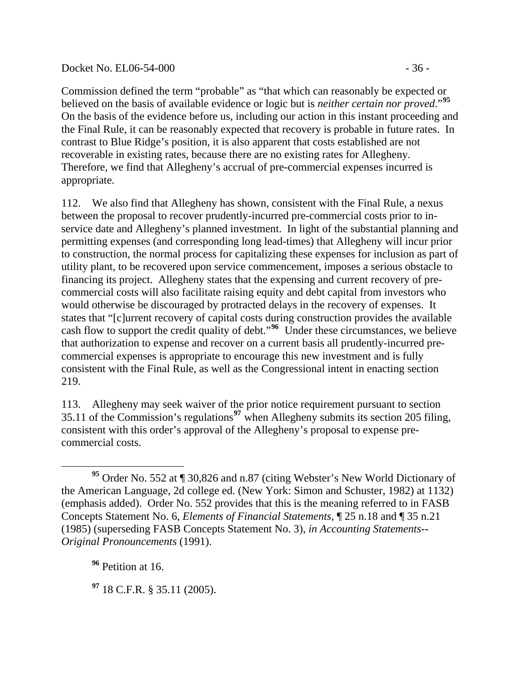### Docket No. EL06-54-000 - 36 -

Commission defined the term "probable" as "that which can reasonably be expected or believed on the basis of available evidence or logic but is *neither certain nor proved*."**[95](#page-35-0)** On the basis of the evidence before us, including our action in this instant proceeding and the Final Rule, it can be reasonably expected that recovery is probable in future rates. In contrast to Blue Ridge's position, it is also apparent that costs established are not recoverable in existing rates, because there are no existing rates for Allegheny. Therefore, we find that Allegheny's accrual of pre-commercial expenses incurred is appropriate.

112. We also find that Allegheny has shown, consistent with the Final Rule, a nexus between the proposal to recover prudently-incurred pre-commercial costs prior to inservice date and Allegheny's planned investment. In light of the substantial planning and permitting expenses (and corresponding long lead-times) that Allegheny will incur prior to construction, the normal process for capitalizing these expenses for inclusion as part of utility plant, to be recovered upon service commencement, imposes a serious obstacle to financing its project. Allegheny states that the expensing and current recovery of precommercial costs will also facilitate raising equity and debt capital from investors who would otherwise be discouraged by protracted delays in the recovery of expenses. It states that "[c]urrent recovery of capital costs during construction provides the available cash flow to support the credit quality of debt."**[96](#page-35-1)** Under these circumstances, we believe that authorization to expense and recover on a current basis all prudently-incurred precommercial expenses is appropriate to encourage this new investment and is fully consistent with the Final Rule, as well as the Congressional intent in enacting section 219.

113. Allegheny may seek waiver of the prior notice requirement pursuant to section 35.11 of the Commission's regulations**[97](#page-35-2)** when Allegheny submits its section 205 filing, consistent with this order's approval of the Allegheny's proposal to expense precommercial costs.

<span id="page-35-1"></span>**<sup>96</sup>** Petition at 16.

 $\overline{a}$ 

<span id="page-35-2"></span>**<sup>97</sup>** 18 C.F.R. § 35.11 (2005).

<span id="page-35-0"></span>**<sup>95</sup>** Order No. 552 at ¶ 30,826 and n.87 (citing Webster's New World Dictionary of the American Language, 2d college ed. (New York: Simon and Schuster, 1982) at 1132) (emphasis added). Order No. 552 provides that this is the meaning referred to in FASB Concepts Statement No. 6, *Elements of Financial Statements*, ¶ 25 n.18 and ¶ 35 n.21 (1985) (superseding FASB Concepts Statement No. 3), *in Accounting Statements-- Original Pronouncements* (1991).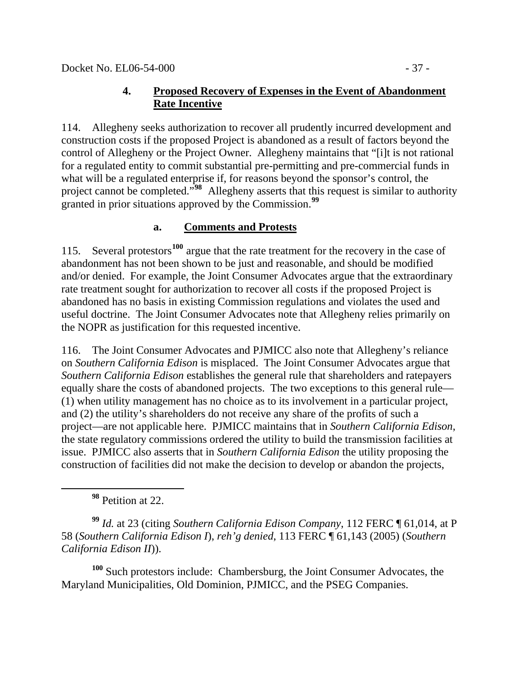# **4. Proposed Recovery of Expenses in the Event of Abandonment Rate Incentive**

114. Allegheny seeks authorization to recover all prudently incurred development and construction costs if the proposed Project is abandoned as a result of factors beyond the control of Allegheny or the Project Owner. Allegheny maintains that "[i]t is not rational for a regulated entity to commit substantial pre-permitting and pre-commercial funds in what will be a regulated enterprise if, for reasons beyond the sponsor's control, the project cannot be completed."**[98](#page-36-0)** Allegheny asserts that this request is similar to authority granted in prior situations approved by the Commission.**[99](#page-36-1)**

# **a. Comments and Protests**

115. Several protestors**[100](#page-36-2)** argue that the rate treatment for the recovery in the case of abandonment has not been shown to be just and reasonable, and should be modified and/or denied. For example, the Joint Consumer Advocates argue that the extraordinary rate treatment sought for authorization to recover all costs if the proposed Project is abandoned has no basis in existing Commission regulations and violates the used and useful doctrine. The Joint Consumer Advocates note that Allegheny relies primarily on the NOPR as justification for this requested incentive.

116. The Joint Consumer Advocates and PJMICC also note that Allegheny's reliance on *Southern California Edison* is misplaced. The Joint Consumer Advocates argue that *Southern California Edison* establishes the general rule that shareholders and ratepayers equally share the costs of abandoned projects. The two exceptions to this general rule— (1) when utility management has no choice as to its involvement in a particular project, and (2) the utility's shareholders do not receive any share of the profits of such a project—are not applicable here. PJMICC maintains that in *Southern California Edison*, the state regulatory commissions ordered the utility to build the transmission facilities at issue. PJMICC also asserts that in *Southern California Edison* the utility proposing the construction of facilities did not make the decision to develop or abandon the projects,

**<sup>98</sup>** Petition at 22.

<span id="page-36-0"></span> $\overline{a}$ 

<span id="page-36-1"></span>**<sup>99</sup>** *Id.* at 23 (citing *Southern California Edison Company*, 112 FERC ¶ 61,014, at P 58 (*Southern California Edison I*), *reh'g denied*, 113 FERC ¶ 61,143 (2005) (*Southern California Edison II*)).

<span id="page-36-2"></span>**<sup>100</sup>** Such protestors include: Chambersburg, the Joint Consumer Advocates, the Maryland Municipalities, Old Dominion, PJMICC, and the PSEG Companies.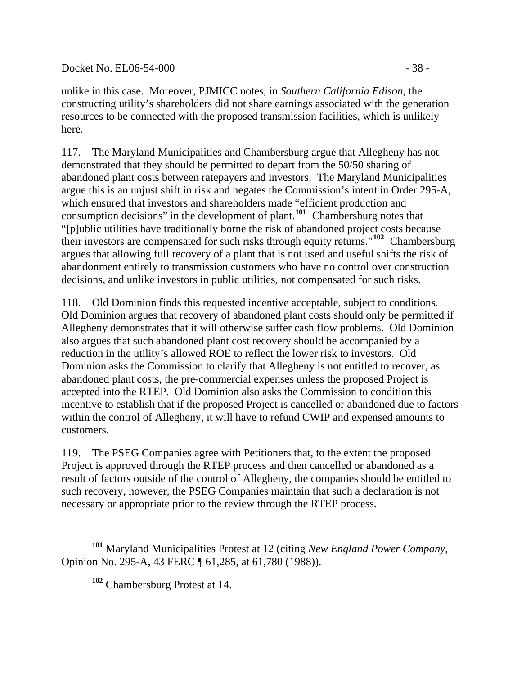Docket No. EL06-54-000 - 38 -

unlike in this case. Moreover, PJMICC notes, in *Southern California Edison*, the constructing utility's shareholders did not share earnings associated with the generation resources to be connected with the proposed transmission facilities, which is unlikely here.

117. The Maryland Municipalities and Chambersburg argue that Allegheny has not demonstrated that they should be permitted to depart from the 50/50 sharing of abandoned plant costs between ratepayers and investors. The Maryland Municipalities argue this is an unjust shift in risk and negates the Commission's intent in Order 295-A, which ensured that investors and shareholders made "efficient production and consumption decisions" in the development of plant.**[101](#page-37-0)** Chambersburg notes that "[p]ublic utilities have traditionally borne the risk of abandoned project costs because their investors are compensated for such risks through equity returns."**[102](#page-37-1)** Chambersburg argues that allowing full recovery of a plant that is not used and useful shifts the risk of abandonment entirely to transmission customers who have no control over construction decisions, and unlike investors in public utilities, not compensated for such risks.

118. Old Dominion finds this requested incentive acceptable, subject to conditions. Old Dominion argues that recovery of abandoned plant costs should only be permitted if Allegheny demonstrates that it will otherwise suffer cash flow problems. Old Dominion also argues that such abandoned plant cost recovery should be accompanied by a reduction in the utility's allowed ROE to reflect the lower risk to investors. Old Dominion asks the Commission to clarify that Allegheny is not entitled to recover, as abandoned plant costs, the pre-commercial expenses unless the proposed Project is accepted into the RTEP. Old Dominion also asks the Commission to condition this incentive to establish that if the proposed Project is cancelled or abandoned due to factors within the control of Allegheny, it will have to refund CWIP and expensed amounts to customers.

119. The PSEG Companies agree with Petitioners that, to the extent the proposed Project is approved through the RTEP process and then cancelled or abandoned as a result of factors outside of the control of Allegheny, the companies should be entitled to such recovery, however, the PSEG Companies maintain that such a declaration is not necessary or appropriate prior to the review through the RTEP process.

<span id="page-37-1"></span><span id="page-37-0"></span> $\overline{a}$ **<sup>101</sup>** Maryland Municipalities Protest at 12 (citing *New England Power Company*, Opinion No. 295-A, 43 FERC ¶ 61,285, at 61,780 (1988)).

**<sup>102</sup>** Chambersburg Protest at 14.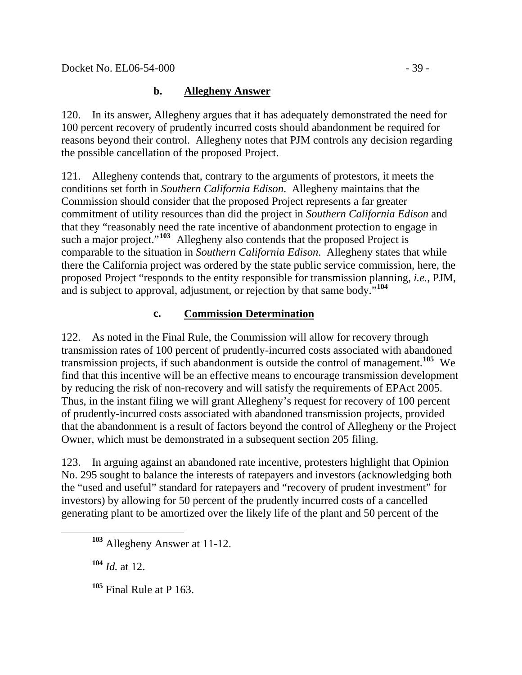## **b. Allegheny Answer**

120. In its answer, Allegheny argues that it has adequately demonstrated the need for 100 percent recovery of prudently incurred costs should abandonment be required for reasons beyond their control. Allegheny notes that PJM controls any decision regarding the possible cancellation of the proposed Project.

121. Allegheny contends that, contrary to the arguments of protestors, it meets the conditions set forth in *Southern California Edison*. Allegheny maintains that the Commission should consider that the proposed Project represents a far greater commitment of utility resources than did the project in *Southern California Edison* and that they "reasonably need the rate incentive of abandonment protection to engage in such a major project."<sup>[103](#page-38-0)</sup> Allegheny also contends that the proposed Project is comparable to the situation in *Southern California Edison*. Allegheny states that while there the California project was ordered by the state public service commission, here, the proposed Project "responds to the entity responsible for transmission planning, *i.e.*, PJM, and is subject to approval, adjustment, or rejection by that same body."**[104](#page-38-1)**

## **c. Commission Determination**

122. As noted in the Final Rule, the Commission will allow for recovery through transmission rates of 100 percent of prudently-incurred costs associated with abandoned transmission projects, if such abandonment is outside the control of management.**[105](#page-38-2)** We find that this incentive will be an effective means to encourage transmission development by reducing the risk of non-recovery and will satisfy the requirements of EPAct 2005. Thus, in the instant filing we will grant Allegheny's request for recovery of 100 percent of prudently-incurred costs associated with abandoned transmission projects, provided that the abandonment is a result of factors beyond the control of Allegheny or the Project Owner, which must be demonstrated in a subsequent section 205 filing.

123. In arguing against an abandoned rate incentive, protesters highlight that Opinion No. 295 sought to balance the interests of ratepayers and investors (acknowledging both the "used and useful" standard for ratepayers and "recovery of prudent investment" for investors) by allowing for 50 percent of the prudently incurred costs of a cancelled generating plant to be amortized over the likely life of the plant and 50 percent of the

**<sup>104</sup>** *Id.* at 12.

<span id="page-38-2"></span><span id="page-38-1"></span><span id="page-38-0"></span> $\overline{a}$ 

**<sup>105</sup>** Final Rule at P 163.

**<sup>103</sup>** Allegheny Answer at 11-12.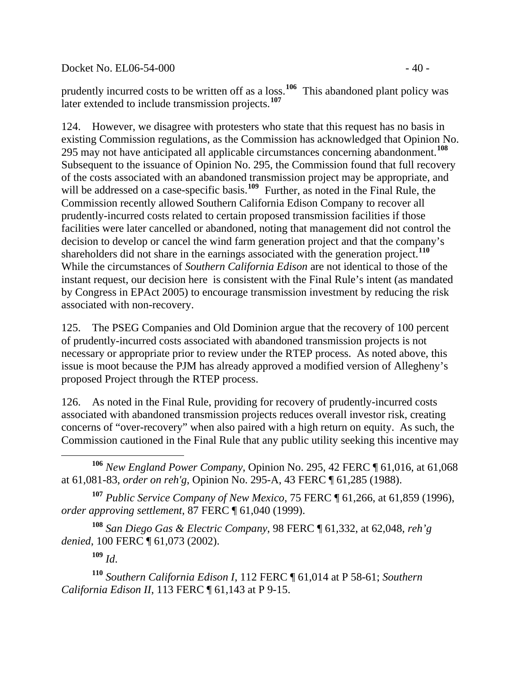Docket No. EL06-54-000 - 40 -

prudently incurred costs to be written off as a loss.**[106](#page-39-0)** This abandoned plant policy was later extended to include transmission projects.**[107](#page-39-1)**

124. However, we disagree with protesters who state that this request has no basis in existing Commission regulations, as the Commission has acknowledged that Opinion No. 295 may not have anticipated all applicable circumstances concerning abandonment.**[108](#page-39-2)** Subsequent to the issuance of Opinion No. 295, the Commission found that full recovery of the costs associated with an abandoned transmission project may be appropriate, and will be addressed on a case-specific basis.<sup>[109](#page-39-3)</sup> Further, as noted in the Final Rule, the Commission recently allowed Southern California Edison Company to recover all prudently-incurred costs related to certain proposed transmission facilities if those facilities were later cancelled or abandoned, noting that management did not control the decision to develop or cancel the wind farm generation project and that the company's shareholders did not share in the earnings associated with the generation project.**[110](#page-39-4)** While the circumstances of *Southern California Edison* are not identical to those of the instant request, our decision here is consistent with the Final Rule's intent (as mandated by Congress in EPAct 2005) to encourage transmission investment by reducing the risk associated with non-recovery.

125. The PSEG Companies and Old Dominion argue that the recovery of 100 percent of prudently-incurred costs associated with abandoned transmission projects is not necessary or appropriate prior to review under the RTEP process. As noted above, this issue is moot because the PJM has already approved a modified version of Allegheny's proposed Project through the RTEP process.

126. As noted in the Final Rule, providing for recovery of prudently-incurred costs associated with abandoned transmission projects reduces overall investor risk, creating concerns of "over-recovery" when also paired with a high return on equity. As such, the Commission cautioned in the Final Rule that any public utility seeking this incentive may

<span id="page-39-0"></span>**<sup>106</sup>** *New England Power Company*, Opinion No. 295, 42 FERC ¶ 61,016, at 61,068 at 61,081-83, *order on reh'g*, Opinion No. 295-A, 43 FERC ¶ 61,285 (1988).

<span id="page-39-1"></span>**<sup>107</sup>** *Public Service Company of New Mexico*, 75 FERC ¶ 61,266, at 61,859 (1996), *order approving settlement*, 87 FERC ¶ 61,040 (1999).

<span id="page-39-2"></span>**<sup>108</sup>** *San Diego Gas & Electric Company*, 98 FERC ¶ 61,332, at 62,048, *reh'g denied*, 100 FERC ¶ 61,073 (2002).

 $109$  *Id.* 

 $\overline{a}$ 

<span id="page-39-4"></span><span id="page-39-3"></span>**<sup>110</sup>** *Southern California Edison I*, 112 FERC ¶ 61,014 at P 58-61; *Southern California Edison II*, 113 FERC ¶ 61,143 at P 9-15.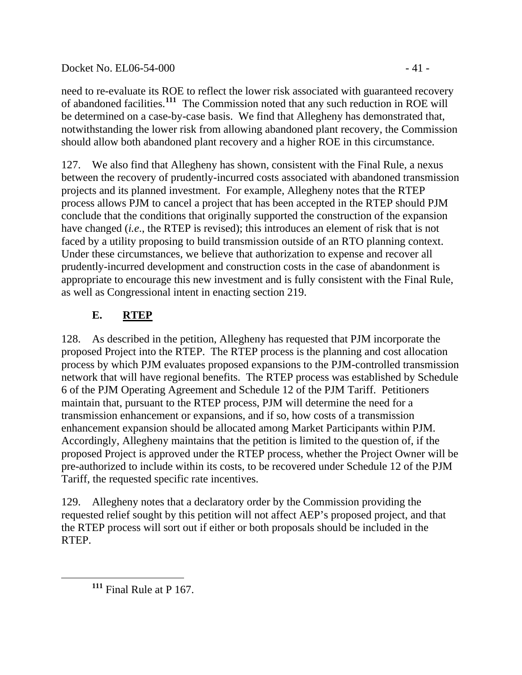# Docket No. EL06-54-000 - 41 -

need to re-evaluate its ROE to reflect the lower risk associated with guaranteed recovery of abandoned facilities.**[111](#page-40-0)** The Commission noted that any such reduction in ROE will be determined on a case-by-case basis. We find that Allegheny has demonstrated that, notwithstanding the lower risk from allowing abandoned plant recovery, the Commission should allow both abandoned plant recovery and a higher ROE in this circumstance.

127. We also find that Allegheny has shown, consistent with the Final Rule, a nexus between the recovery of prudently-incurred costs associated with abandoned transmission projects and its planned investment. For example, Allegheny notes that the RTEP process allows PJM to cancel a project that has been accepted in the RTEP should PJM conclude that the conditions that originally supported the construction of the expansion have changed (*i.e*., the RTEP is revised); this introduces an element of risk that is not faced by a utility proposing to build transmission outside of an RTO planning context. Under these circumstances, we believe that authorization to expense and recover all prudently-incurred development and construction costs in the case of abandonment is appropriate to encourage this new investment and is fully consistent with the Final Rule, as well as Congressional intent in enacting section 219.

# **E. RTEP**

128. As described in the petition, Allegheny has requested that PJM incorporate the proposed Project into the RTEP. The RTEP process is the planning and cost allocation process by which PJM evaluates proposed expansions to the PJM-controlled transmission network that will have regional benefits. The RTEP process was established by Schedule 6 of the PJM Operating Agreement and Schedule 12 of the PJM Tariff. Petitioners maintain that, pursuant to the RTEP process, PJM will determine the need for a transmission enhancement or expansions, and if so, how costs of a transmission enhancement expansion should be allocated among Market Participants within PJM. Accordingly, Allegheny maintains that the petition is limited to the question of, if the proposed Project is approved under the RTEP process, whether the Project Owner will be pre-authorized to include within its costs, to be recovered under Schedule 12 of the PJM Tariff, the requested specific rate incentives.

129. Allegheny notes that a declaratory order by the Commission providing the requested relief sought by this petition will not affect AEP's proposed project, and that the RTEP process will sort out if either or both proposals should be included in the RTEP.

<span id="page-40-0"></span> $\overline{a}$ 

**<sup>111</sup>** Final Rule at P 167.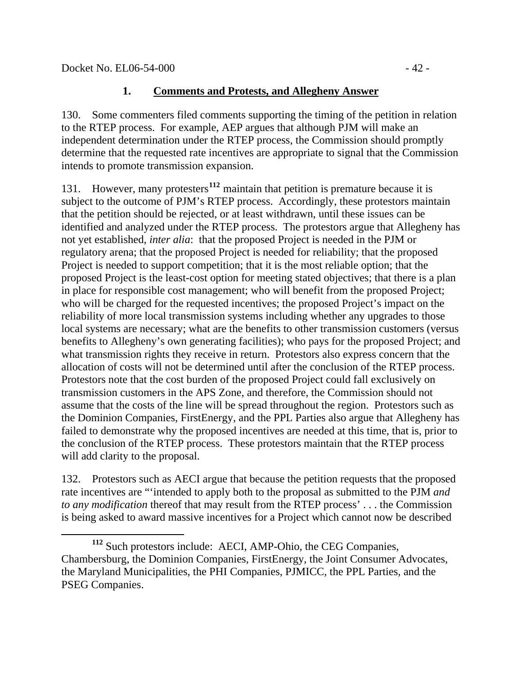### **1. Comments and Protests, and Allegheny Answer**

130. Some commenters filed comments supporting the timing of the petition in relation to the RTEP process. For example, AEP argues that although PJM will make an independent determination under the RTEP process, the Commission should promptly determine that the requested rate incentives are appropriate to signal that the Commission intends to promote transmission expansion.

131. However, many protesters**[112](#page-41-0)** maintain that petition is premature because it is subject to the outcome of PJM's RTEP process. Accordingly, these protestors maintain that the petition should be rejected, or at least withdrawn, until these issues can be identified and analyzed under the RTEP process. The protestors argue that Allegheny has not yet established, *inter alia*: that the proposed Project is needed in the PJM or regulatory arena; that the proposed Project is needed for reliability; that the proposed Project is needed to support competition; that it is the most reliable option; that the proposed Project is the least-cost option for meeting stated objectives; that there is a plan in place for responsible cost management; who will benefit from the proposed Project; who will be charged for the requested incentives; the proposed Project's impact on the reliability of more local transmission systems including whether any upgrades to those local systems are necessary; what are the benefits to other transmission customers (versus benefits to Allegheny's own generating facilities); who pays for the proposed Project; and what transmission rights they receive in return. Protestors also express concern that the allocation of costs will not be determined until after the conclusion of the RTEP process. Protestors note that the cost burden of the proposed Project could fall exclusively on transmission customers in the APS Zone, and therefore, the Commission should not assume that the costs of the line will be spread throughout the region. Protestors such as the Dominion Companies, FirstEnergy, and the PPL Parties also argue that Allegheny has failed to demonstrate why the proposed incentives are needed at this time, that is, prior to the conclusion of the RTEP process. These protestors maintain that the RTEP process will add clarity to the proposal.

132. Protestors such as AECI argue that because the petition requests that the proposed rate incentives are "'intended to apply both to the proposal as submitted to the PJM *and to any modification* thereof that may result from the RTEP process' . . . the Commission is being asked to award massive incentives for a Project which cannot now be described

<span id="page-41-0"></span> $\overline{a}$ **<sup>112</sup>** Such protestors include: AECI, AMP-Ohio, the CEG Companies, Chambersburg, the Dominion Companies, FirstEnergy, the Joint Consumer Advocates, the Maryland Municipalities, the PHI Companies, PJMICC, the PPL Parties, and the PSEG Companies.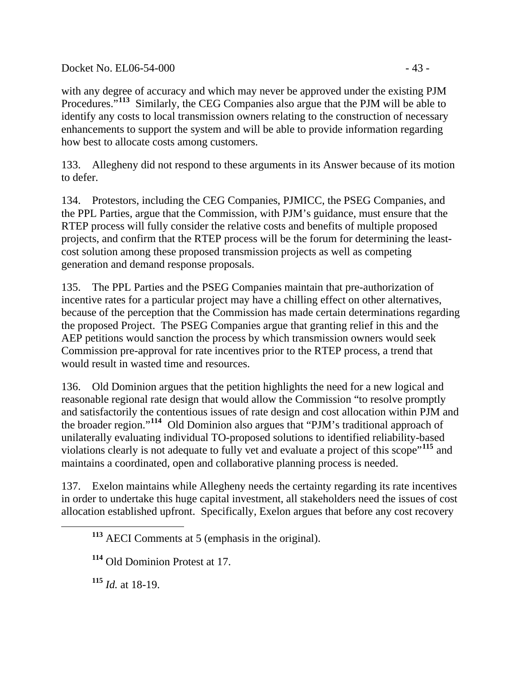Docket No. EL06-54-000 - 43 -

with any degree of accuracy and which may never be approved under the existing PJM Procedures."**[113](#page-42-0)** Similarly, the CEG Companies also argue that the PJM will be able to identify any costs to local transmission owners relating to the construction of necessary enhancements to support the system and will be able to provide information regarding how best to allocate costs among customers.

133. Allegheny did not respond to these arguments in its Answer because of its motion to defer.

134. Protestors, including the CEG Companies, PJMICC, the PSEG Companies, and the PPL Parties, argue that the Commission, with PJM's guidance, must ensure that the RTEP process will fully consider the relative costs and benefits of multiple proposed projects, and confirm that the RTEP process will be the forum for determining the leastcost solution among these proposed transmission projects as well as competing generation and demand response proposals.

135. The PPL Parties and the PSEG Companies maintain that pre-authorization of incentive rates for a particular project may have a chilling effect on other alternatives, because of the perception that the Commission has made certain determinations regarding the proposed Project. The PSEG Companies argue that granting relief in this and the AEP petitions would sanction the process by which transmission owners would seek Commission pre-approval for rate incentives prior to the RTEP process, a trend that would result in wasted time and resources.

136. Old Dominion argues that the petition highlights the need for a new logical and reasonable regional rate design that would allow the Commission "to resolve promptly and satisfactorily the contentious issues of rate design and cost allocation within PJM and the broader region."**[114](#page-42-1)** Old Dominion also argues that "PJM's traditional approach of unilaterally evaluating individual TO-proposed solutions to identified reliability-based violations clearly is not adequate to fully vet and evaluate a project of this scope"**[115](#page-42-2)** and maintains a coordinated, open and collaborative planning process is needed.

137. Exelon maintains while Allegheny needs the certainty regarding its rate incentives in order to undertake this huge capital investment, all stakeholders need the issues of cost allocation established upfront. Specifically, Exelon argues that before any cost recovery

**<sup>115</sup>** *Id.* at 18-19.

<span id="page-42-2"></span><span id="page-42-1"></span><span id="page-42-0"></span> $\overline{a}$ 

**<sup>113</sup>** AECI Comments at 5 (emphasis in the original).

**<sup>114</sup>** Old Dominion Protest at 17.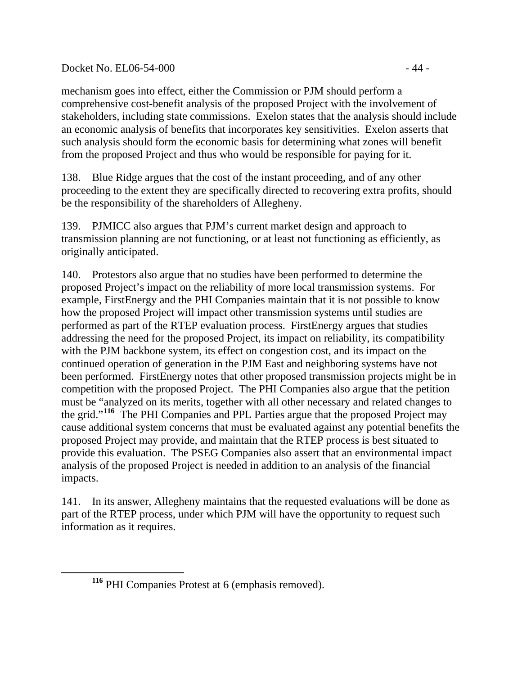### Docket No. EL06-54-000 - 44 -

mechanism goes into effect, either the Commission or PJM should perform a comprehensive cost-benefit analysis of the proposed Project with the involvement of stakeholders, including state commissions. Exelon states that the analysis should include an economic analysis of benefits that incorporates key sensitivities. Exelon asserts that such analysis should form the economic basis for determining what zones will benefit from the proposed Project and thus who would be responsible for paying for it.

138. Blue Ridge argues that the cost of the instant proceeding, and of any other proceeding to the extent they are specifically directed to recovering extra profits, should be the responsibility of the shareholders of Allegheny.

139. PJMICC also argues that PJM's current market design and approach to transmission planning are not functioning, or at least not functioning as efficiently, as originally anticipated.

140. Protestors also argue that no studies have been performed to determine the proposed Project's impact on the reliability of more local transmission systems. For example, FirstEnergy and the PHI Companies maintain that it is not possible to know how the proposed Project will impact other transmission systems until studies are performed as part of the RTEP evaluation process. FirstEnergy argues that studies addressing the need for the proposed Project, its impact on reliability, its compatibility with the PJM backbone system, its effect on congestion cost, and its impact on the continued operation of generation in the PJM East and neighboring systems have not been performed. FirstEnergy notes that other proposed transmission projects might be in competition with the proposed Project. The PHI Companies also argue that the petition must be "analyzed on its merits, together with all other necessary and related changes to the grid."**[116](#page-43-0)** The PHI Companies and PPL Parties argue that the proposed Project may cause additional system concerns that must be evaluated against any potential benefits the proposed Project may provide, and maintain that the RTEP process is best situated to provide this evaluation. The PSEG Companies also assert that an environmental impact analysis of the proposed Project is needed in addition to an analysis of the financial impacts.

141. In its answer, Allegheny maintains that the requested evaluations will be done as part of the RTEP process, under which PJM will have the opportunity to request such information as it requires.

<span id="page-43-0"></span> $\overline{a}$ 

**<sup>116</sup>** PHI Companies Protest at 6 (emphasis removed).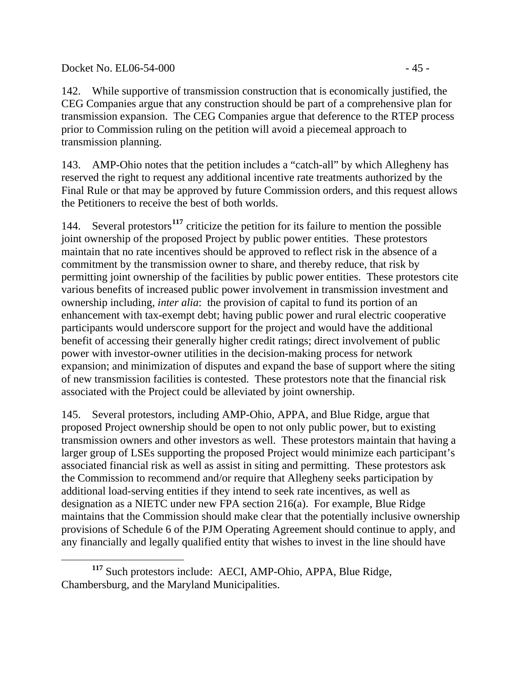142. While supportive of transmission construction that is economically justified, the CEG Companies argue that any construction should be part of a comprehensive plan for transmission expansion. The CEG Companies argue that deference to the RTEP process prior to Commission ruling on the petition will avoid a piecemeal approach to transmission planning.

143. AMP-Ohio notes that the petition includes a "catch-all" by which Allegheny has reserved the right to request any additional incentive rate treatments authorized by the Final Rule or that may be approved by future Commission orders, and this request allows the Petitioners to receive the best of both worlds.

144. Several protestors**[117](#page-44-0)** criticize the petition for its failure to mention the possible joint ownership of the proposed Project by public power entities. These protestors maintain that no rate incentives should be approved to reflect risk in the absence of a commitment by the transmission owner to share, and thereby reduce, that risk by permitting joint ownership of the facilities by public power entities. These protestors cite various benefits of increased public power involvement in transmission investment and ownership including, *inter alia*: the provision of capital to fund its portion of an enhancement with tax-exempt debt; having public power and rural electric cooperative participants would underscore support for the project and would have the additional benefit of accessing their generally higher credit ratings; direct involvement of public power with investor-owner utilities in the decision-making process for network expansion; and minimization of disputes and expand the base of support where the siting of new transmission facilities is contested. These protestors note that the financial risk associated with the Project could be alleviated by joint ownership.

145. Several protestors, including AMP-Ohio, APPA, and Blue Ridge, argue that proposed Project ownership should be open to not only public power, but to existing transmission owners and other investors as well. These protestors maintain that having a larger group of LSEs supporting the proposed Project would minimize each participant's associated financial risk as well as assist in siting and permitting. These protestors ask the Commission to recommend and/or require that Allegheny seeks participation by additional load-serving entities if they intend to seek rate incentives, as well as designation as a NIETC under new FPA section 216(a). For example, Blue Ridge maintains that the Commission should make clear that the potentially inclusive ownership provisions of Schedule 6 of the PJM Operating Agreement should continue to apply, and any financially and legally qualified entity that wishes to invest in the line should have

<span id="page-44-0"></span> $\overline{a}$ **<sup>117</sup>** Such protestors include: AECI, AMP-Ohio, APPA, Blue Ridge, Chambersburg, and the Maryland Municipalities.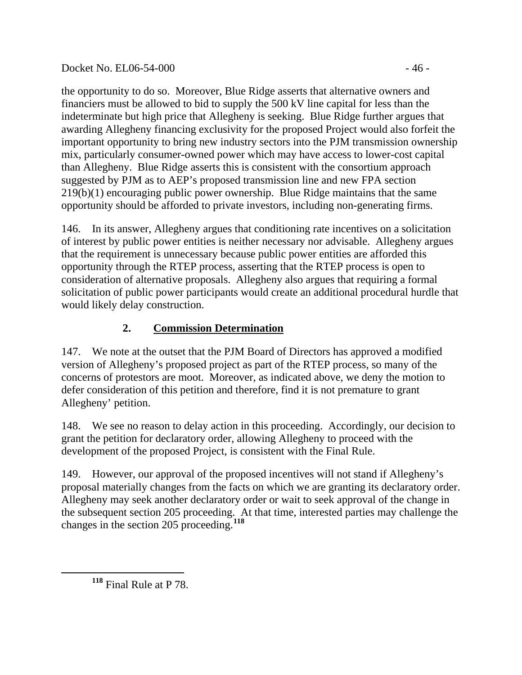## Docket No. EL06-54-000 - 46 -

the opportunity to do so. Moreover, Blue Ridge asserts that alternative owners and financiers must be allowed to bid to supply the 500 kV line capital for less than the indeterminate but high price that Allegheny is seeking. Blue Ridge further argues that awarding Allegheny financing exclusivity for the proposed Project would also forfeit the important opportunity to bring new industry sectors into the PJM transmission ownership mix, particularly consumer-owned power which may have access to lower-cost capital than Allegheny. Blue Ridge asserts this is consistent with the consortium approach suggested by PJM as to AEP's proposed transmission line and new FPA section 219(b)(1) encouraging public power ownership. Blue Ridge maintains that the same opportunity should be afforded to private investors, including non-generating firms.

146. In its answer, Allegheny argues that conditioning rate incentives on a solicitation of interest by public power entities is neither necessary nor advisable. Allegheny argues that the requirement is unnecessary because public power entities are afforded this opportunity through the RTEP process, asserting that the RTEP process is open to consideration of alternative proposals. Allegheny also argues that requiring a formal solicitation of public power participants would create an additional procedural hurdle that would likely delay construction.

# **2. Commission Determination**

147. We note at the outset that the PJM Board of Directors has approved a modified version of Allegheny's proposed project as part of the RTEP process, so many of the concerns of protestors are moot. Moreover, as indicated above, we deny the motion to defer consideration of this petition and therefore, find it is not premature to grant Allegheny' petition.

148. We see no reason to delay action in this proceeding. Accordingly, our decision to grant the petition for declaratory order, allowing Allegheny to proceed with the development of the proposed Project, is consistent with the Final Rule.

149. However, our approval of the proposed incentives will not stand if Allegheny's proposal materially changes from the facts on which we are granting its declaratory order. Allegheny may seek another declaratory order or wait to seek approval of the change in the subsequent section 205 proceeding. At that time, interested parties may challenge the changes in the section 205 proceeding.**[118](#page-45-0)**

<span id="page-45-0"></span> $\overline{a}$ 

**<sup>118</sup>** Final Rule at P 78.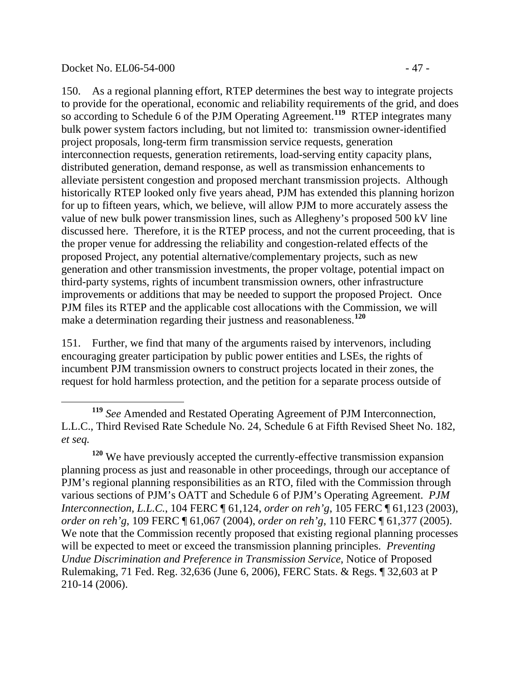#### Docket No. EL06-54-000 - 47 -

 $\overline{a}$ 

150. As a regional planning effort, RTEP determines the best way to integrate projects to provide for the operational, economic and reliability requirements of the grid, and does so according to Schedule 6 of the PJM Operating Agreement.<sup>[119](#page-46-0)</sup> RTEP integrates many bulk power system factors including, but not limited to: transmission owner-identified project proposals, long-term firm transmission service requests, generation interconnection requests, generation retirements, load-serving entity capacity plans, distributed generation, demand response, as well as transmission enhancements to alleviate persistent congestion and proposed merchant transmission projects. Although historically RTEP looked only five years ahead, PJM has extended this planning horizon for up to fifteen years, which, we believe, will allow PJM to more accurately assess the value of new bulk power transmission lines, such as Allegheny's proposed 500 kV line discussed here. Therefore, it is the RTEP process, and not the current proceeding, that is the proper venue for addressing the reliability and congestion-related effects of the proposed Project, any potential alternative/complementary projects, such as new generation and other transmission investments, the proper voltage, potential impact on third-party systems, rights of incumbent transmission owners, other infrastructure improvements or additions that may be needed to support the proposed Project. Once PJM files its RTEP and the applicable cost allocations with the Commission, we will make a determination regarding their justness and reasonableness.**[120](#page-46-1)**

151. Further, we find that many of the arguments raised by intervenors, including encouraging greater participation by public power entities and LSEs, the rights of incumbent PJM transmission owners to construct projects located in their zones, the request for hold harmless protection, and the petition for a separate process outside of

<span id="page-46-0"></span>**<sup>119</sup>** *See* Amended and Restated Operating Agreement of PJM Interconnection, L.L.C., Third Revised Rate Schedule No. 24, Schedule 6 at Fifth Revised Sheet No. 182, *et seq.*

<span id="page-46-1"></span>**<sup>120</sup>** We have previously accepted the currently-effective transmission expansion planning process as just and reasonable in other proceedings, through our acceptance of PJM's regional planning responsibilities as an RTO, filed with the Commission through various sections of PJM's OATT and Schedule 6 of PJM's Operating Agreement. *PJM Interconnection, L.L.C.*, 104 FERC ¶ 61,124, *order on reh'g*, 105 FERC ¶ 61,123 (2003), *order on reh'g*, 109 FERC ¶ 61,067 (2004), *order on reh'g*, 110 FERC ¶ 61,377 (2005). We note that the Commission recently proposed that existing regional planning processes will be expected to meet or exceed the transmission planning principles. *Preventing Undue Discrimination and Preference in Transmission Service*, Notice of Proposed Rulemaking, 71 Fed. Reg. 32,636 (June 6, 2006), FERC Stats. & Regs. ¶ 32,603 at P 210-14 (2006).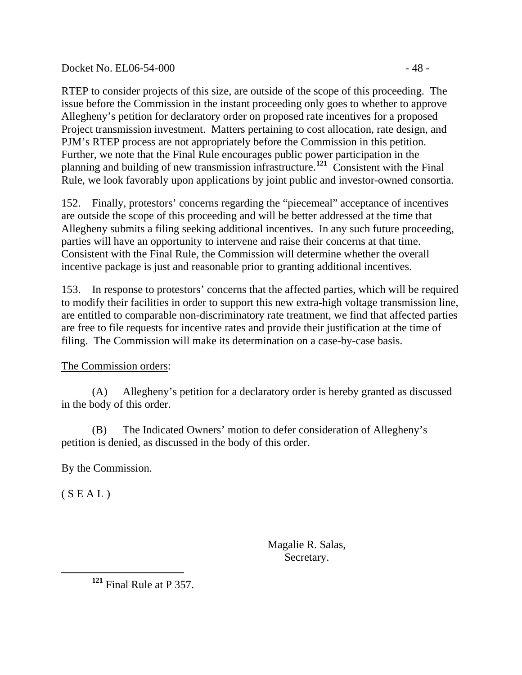Docket No. EL06-54-000 - 48 -

RTEP to consider projects of this size, are outside of the scope of this proceeding. The issue before the Commission in the instant proceeding only goes to whether to approve Allegheny's petition for declaratory order on proposed rate incentives for a proposed Project transmission investment. Matters pertaining to cost allocation, rate design, and PJM's RTEP process are not appropriately before the Commission in this petition. Further, we note that the Final Rule encourages public power participation in the planning and building of new transmission infrastructure.**[121](#page-47-0)** Consistent with the Final Rule, we look favorably upon applications by joint public and investor-owned consortia.

152. Finally, protestors' concerns regarding the "piecemeal" acceptance of incentives are outside the scope of this proceeding and will be better addressed at the time that Allegheny submits a filing seeking additional incentives. In any such future proceeding, parties will have an opportunity to intervene and raise their concerns at that time. Consistent with the Final Rule, the Commission will determine whether the overall incentive package is just and reasonable prior to granting additional incentives.

153. In response to protestors' concerns that the affected parties, which will be required to modify their facilities in order to support this new extra-high voltage transmission line, are entitled to comparable non-discriminatory rate treatment, we find that affected parties are free to file requests for incentive rates and provide their justification at the time of filing. The Commission will make its determination on a case-by-case basis.

The Commission orders:

 (A) Allegheny's petition for a declaratory order is hereby granted as discussed in the body of this order.

 (B) The Indicated Owners' motion to defer consideration of Allegheny's petition is denied, as discussed in the body of this order.

By the Commission.

 $(S E A L)$ 

 Magalie R. Salas, Secretary.

<span id="page-47-0"></span>**<sup>121</sup>** Final Rule at P 357.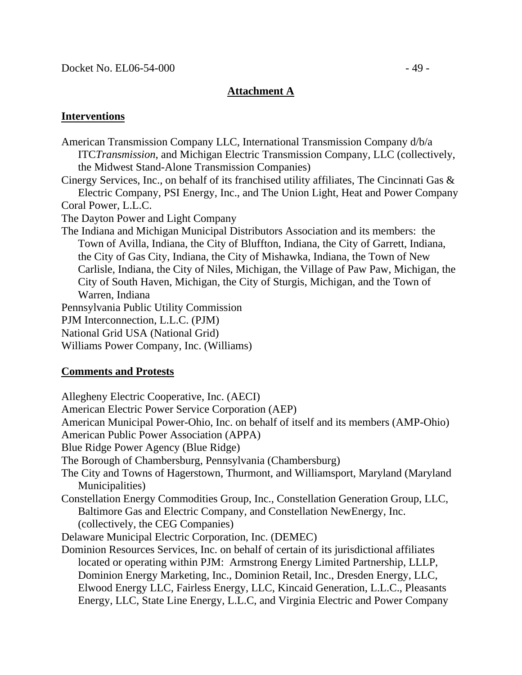## **Attachment A**

## **Interventions**

American Transmission Company LLC, International Transmission Company d/b/a ITC*Transmission*, and Michigan Electric Transmission Company, LLC (collectively, the Midwest Stand-Alone Transmission Companies) Cinergy Services, Inc., on behalf of its franchised utility affiliates, The Cincinnati Gas & Electric Company, PSI Energy, Inc., and The Union Light, Heat and Power Company Coral Power, L.L.C. The Dayton Power and Light Company The Indiana and Michigan Municipal Distributors Association and its members: the Town of Avilla, Indiana, the City of Bluffton, Indiana, the City of Garrett, Indiana, the City of Gas City, Indiana, the City of Mishawka, Indiana, the Town of New Carlisle, Indiana, the City of Niles, Michigan, the Village of Paw Paw, Michigan, the City of South Haven, Michigan, the City of Sturgis, Michigan, and the Town of Warren, Indiana Pennsylvania Public Utility Commission PJM Interconnection, L.L.C. (PJM) National Grid USA (National Grid) Williams Power Company, Inc. (Williams)

### **Comments and Protests**

Allegheny Electric Cooperative, Inc. (AECI)

American Electric Power Service Corporation (AEP)

American Municipal Power-Ohio, Inc. on behalf of itself and its members (AMP-Ohio)

American Public Power Association (APPA)

Blue Ridge Power Agency (Blue Ridge)

The Borough of Chambersburg, Pennsylvania (Chambersburg)

The City and Towns of Hagerstown, Thurmont, and Williamsport, Maryland (Maryland Municipalities)

Constellation Energy Commodities Group, Inc., Constellation Generation Group, LLC, Baltimore Gas and Electric Company, and Constellation NewEnergy, Inc. (collectively, the CEG Companies)

Delaware Municipal Electric Corporation, Inc. (DEMEC)

Dominion Resources Services, Inc. on behalf of certain of its jurisdictional affiliates located or operating within PJM: Armstrong Energy Limited Partnership, LLLP, Dominion Energy Marketing, Inc., Dominion Retail, Inc., Dresden Energy, LLC, Elwood Energy LLC, Fairless Energy, LLC, Kincaid Generation, L.L.C., Pleasants Energy, LLC, State Line Energy, L.L.C, and Virginia Electric and Power Company